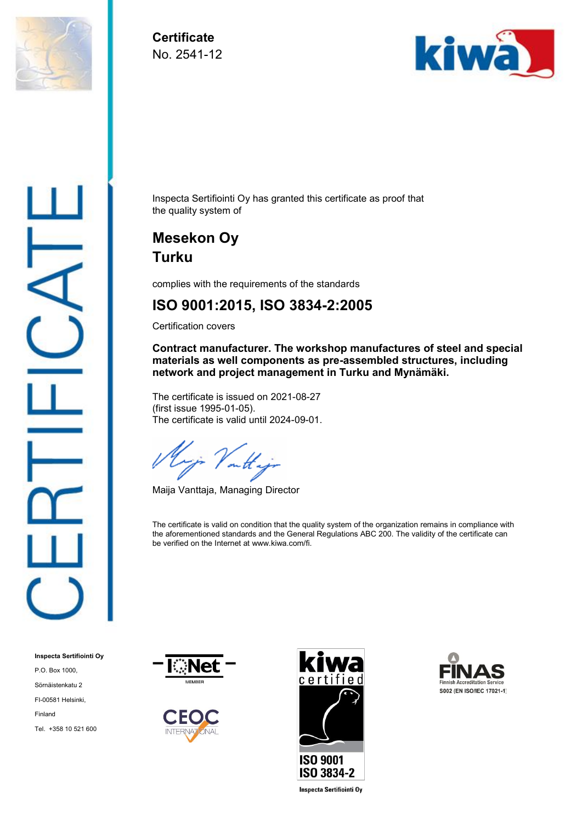

**Certificate** No. 2541-12



Inspecta Sertifiointi Oy has granted this certificate as proof that the quality system of

## **Mesekon Oy Turku**

complies with the requirements of the standards

#### **ISO 9001:2015, ISO 3834-2:2005**

Certification covers

**Contract manufacturer. The workshop manufactures of steel and special materials as well components as pre-assembled structures, including network and project management in Turku and Mynämäki.**

The certificate is issued on 2021-08-27 (first issue 1995-01-05). The certificate is valid until 2024-09-01.

ir Voutt.

Maija Vanttaja, Managing Director

The certificate is valid on condition that the quality system of the organization remains in compliance with the aforementioned standards and the General Regulations ABC 200. The validity of the certificate can be verified on the Internet at www.kiwa.com/fi.









**Inspecta Sertifiointi Oy** 

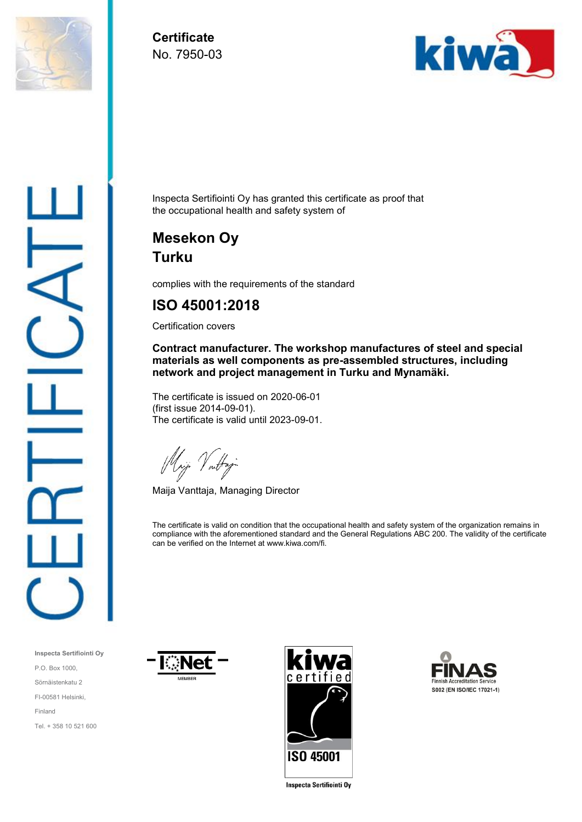

**Certificate** No. 7950-03



Inspecta Sertifiointi Oy has granted this certificate as proof that the occupational health and safety system of

## **Mesekon Oy Turku**

complies with the requirements of the standard

#### **ISO 45001:2018**

Certification covers

**Contract manufacturer. The workshop manufactures of steel and special materials as well components as pre-assembled structures, including network and project management in Turku and Mynamäki.**

The certificate is issued on 2020-06-01 (first issue 2014-09-01). The certificate is valid until 2023-09-01.

Mij Vartaj

Maija Vanttaja, Managing Director

The certificate is valid on condition that the occupational health and safety system of the organization remains in compliance with the aforementioned standard and the General Regulations ABC 200. The validity of the certificate can be verified on the Internet at www.kiwa.com/fi.

**Inspecta Sertifiointi Oy** P.O. Box 1000, Sörnäistenkatu 2 FI-00581 Helsinki, Finland Tel. + 358 10 521 600







**Inspecta Sertifiointi Oy**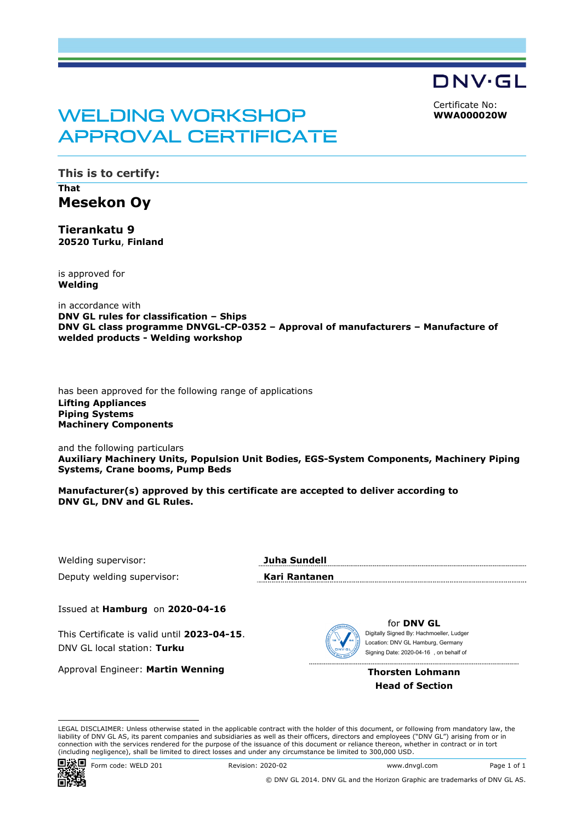DNV·GL

Certificate No: **WWA000020W**

## WELDING WORKSHOP APPROVAL CERTIFICATE

**This is to certify: That Mesekon Oy** 

**Tierankatu 9 20520 Turku**, **Finland**

is approved for **Welding**

in accordance with **DNV GL rules for classification – Ships DNV GL class programme DNVGL-CP-0352 – Approval of manufacturers – Manufacture of welded products - Welding workshop** 

has been approved for the following range of applications **Lifting Appliances Piping Systems Machinery Components**

and the following particulars **Auxiliary Machinery Units, Populsion Unit Bodies, EGS-System Components, Machinery Piping Systems, Crane booms, Pump Beds** 

**Manufacturer(s) approved by this certificate are accepted to deliver according to DNV GL, DNV and GL Rules.** 

Welding supervisor: **Juha Sundell**

Deputy welding supervisor: **Kari Rantanen**

Issued at **Hamburg** on **2020-04-16**

This Certificate is valid until **2023-04-15**. DNV GL local station: **Turku**

Approval Engineer: **Martin Wenning**



for **DNV GL** Signing Date: 2020-04-16, on behalf of Location: DNV GL Hamburg, Germany

**Thorsten Lohmann Head of Section**

LEGAL DISCLAIMER: Unless otherwise stated in the applicable contract with the holder of this document, or following from mandatory law, the liability of DNV GL AS, its parent companies and subsidiaries as well as their officers, directors and employees ("DNV GL") arising from or in This Certificate is valid until 2023-04-15.<br>
DNV GL local station: **Turku**<br>
Approval Engineer: **Martin Wenning**<br>
Approval Engineer: **Martin Wenning**<br>
LEGAL DISCLAIMER: Unless otherwise stated in the applicable contract wit



© DNV GL 2014. DNV GL and the Horizon Graphic are trademarks of DNV GL AS.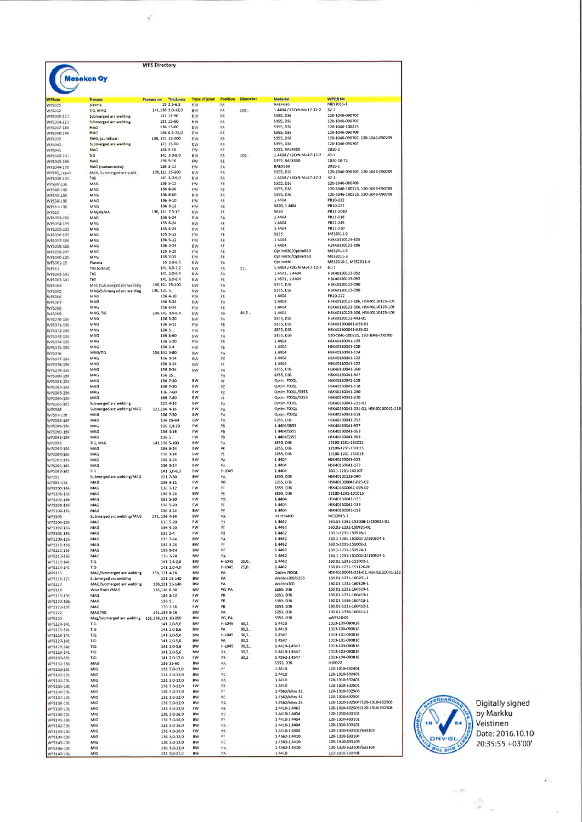| Mesekon Oy<br><b>WPOR No</b><br><b>Thickness</b><br><b>Diameter</b><br><b>Material</b><br><b>Process</b><br><b>Process no</b><br><b>Type of Joint</b><br><b>Position</b><br><b>RAEX650</b><br>MES2011-1<br>15 2.5-6.5<br>PA<br>plasma<br>EW<br>1 4404 / X2CrNiMo17-12-2<br>141.136 3,0-12,0<br>EW<br>₽A<br>109.<br>$32 - 1$<br><b>TIG, MAG</b><br>FΑ<br>\$355, D36<br>120-1045-090707<br>WP5033-121<br>Submerged arc welding<br>121 15-50<br><b>BW</b><br>121 15-60<br>EW<br>FΛ<br>\$355, D36<br>120-1046-090707<br>Submerged arc welding<br>136 15-60<br>EW<br>8 <sub>A</sub><br>\$355, D36<br>120-1046-100225<br>MAG<br>120-1046-090709<br>WP5038-136<br>MAG<br>136 6,5-26,0<br>EW<br>非人<br>5355, D36<br>120-1046-090707, 120-1046-090709<br>PA<br>\$355, D36<br>136, 121 15-200<br>BW<br>MAG, jauhekaari<br>\$355, D36<br>120-1046-090707<br>121 15-60<br><b>EW</b><br>求め<br>WP5040<br>Submerged arc welding<br>2010-2<br>136 5-16<br>FW<br>归五<br>5355, RAEX650<br>MAG<br>1.4404 / X2CrNiMo17-12-2<br>$42 - 1$<br><b>TIG</b><br>141 3,0-8,0<br><b>EW</b><br>PA<br>109.<br>FW<br>积<br><b>S355, RAEX650</b><br>1070-10-72<br>WP5045-136<br>MAG<br>136 5-16<br>MAG (mekanisoitu)<br>136 3-12<br>FW<br>PA<br><b>RAEX650</b><br>2010-1<br>120-1046-090707, 120-1046-090709<br>$\mu_A$<br>S355, D36<br>MAG, Submerged arc weld<br>136,121 15-200<br><b>BW</b><br>PA<br>1 4404 / X2CrNiMo17-12-2<br>TIG<br>$42 - 1$<br>141 3,0-6,0<br><b>BW</b><br>WF5046-141<br>MAG<br>塵<br>\$355, D36<br>120-1046-090709<br>136 5-12<br><b>FW</b><br>$v_{\theta}$<br>120-1046-100225, 120-1046-090709<br>WP548-196<br>MAG<br>136 8-36<br>FW<br>\$355, D36<br>FΑ<br>\$355, D36<br>120-1046-100225, 120-1046-090709<br>WP549-156<br>MAG<br>136 8-60<br>вw<br>MAG<br>136 4-10<br>FW<br>FØ<br>1 4404<br>PR10-222<br>PR10-227<br>WP551-196<br>MAG<br>136 3-12<br>FW<br>PR<br>\$420, 1 4404<br>ps.<br>PR11-2010<br>\$420<br>MAG/MMA<br>136, 111 7, 5-15<br><b>AW</b><br>$\mu$ A<br>1 4404<br>PR11-216<br>MAG<br>136 6-24<br><b>BW</b><br>MAG<br>135 6-24<br>₽£<br>1 4404<br>PR11-249<br>WP5054-135<br><b>BW</b><br>1 4404<br>PR11-250<br>MAG<br>135 6-24<br><b>BW</b><br>PE<br>PB<br>5235<br>MES2011-2<br>MAG<br>135 5-12<br><b>FW</b><br>WP5057-136<br>MAG<br>136 5-12<br>FW<br>PB<br>1 4404<br>HSK40110123-105<br>HSK40110123-106<br>FŦ<br>14404<br>MAG<br>136 3-24<br>ew<br>FB<br>Optim650/Optim960<br>ME52011-2<br>MAG<br>135 3-15<br>ŦW<br>FW<br>FO<br>Optim650/Optim960<br>ME52011-3<br>MAG<br>135 3-15<br>WF5060-135<br>Optim960<br>MES2010-1, MES2011-4<br>Plasma<br>15 3,0-6,5<br>εw<br>PA<br>TIG (orbital)<br><b>EIW</b><br>PA<br>57.<br>1 4404 / X2CrNiMo17-12-2<br>61.1<br>141 3,0-7,2<br>HSK40120123-092<br>WP5062-141<br><b>TIG</b><br>141 3,0-6,4<br><b>BW</b><br>PA<br>1 4571, 1 4404<br>HSK40120123-092<br>FC<br>14571, 14404<br><b>71G</b><br>141 3,0-6,4<br><b>BW</b><br>\$355, D36<br>H5K40120123-090<br>PA<br>136, 121 25-100<br><b>BW</b><br>MAG/Submerged are welding<br>РĂ<br>\$355, D36<br>H5K40120123-090<br>WPSOES<br>MAG/Submerged arc welding<br>136.1215<br><b>EW</b><br>MAG<br>136 4-10<br><b>FW</b><br>₽B<br>1 4404<br>PR10-222<br>1 4404<br>HSK40110123-106, HSK40110123-105<br>MAG<br>136 3-24<br><b>BW</b><br>₽A<br>MAG<br>FW<br>₽₽<br>1 4404<br>HSK40110123-106, HSK40110123-106<br>WPSOGS<br>136 6-24<br>HSK40110123-106, HSK40110123-106<br>MAG, TIG<br>136,141 3,0-6,4<br><b>EW</b><br>FA<br>44.5<br>1 4404<br>HSK40120123-443-01<br>РA<br>\$355, D36<br>MAG<br>136 3-20<br><b>BW</b><br>PB<br>HSK401300041-023-01<br>\$355, D36<br>MAG<br><b>FW</b><br>WP1071-136<br>136 3-12<br>₽B<br>HSK401300041-025-02<br>MAG<br>136 5<br><b>TW</b><br>\$355, D36<br>120-1046-100225, 120-1046-090709<br>MAG<br>136 8-60<br><b>BW</b><br>ΡA<br><b>S355, D36</b><br>₽B<br>1 4404<br>HSK40130041-135<br>WP5074-136<br>MAG<br>136 5-20<br>TW<br>EW<br>P₿<br>1 4404<br>HSK40130041-120<br>MAG<br>136 2-4<br>1 4404<br>HSK40130041-124<br>MAG/TIG<br>136,141 5-80<br>部品<br>Þ٨<br>1 4404<br>HSK40130041-122<br>РĊ<br>WP5077-156<br>MAG<br>136 3-24<br><b>BW</b><br>ÞΤ<br>1.4404<br>HSK40130041-122<br>MAG<br>136 3-24<br>BW<br>РĀ<br>\$355, D36<br>HSK40130041-360<br>MAG<br>136 6-24<br>BW<br>\$355, D36<br>HSK40130041-347<br>MAG<br>136 25<br>P٨<br>WP5280-13E<br>BW<br>PF<br>Optim 700QL<br>HSK40130041-118<br>MAG<br>136 7-30<br>MAG<br><b>BW</b><br>陀<br>Optim 700QL<br>HSK40130041-118<br>136 7-30<br>PC<br>Optim 700QL/S355<br>HSK40130041-230<br>WP5083-136<br>MAG<br>136 7-60<br><b>BW</b><br>HSK40130041-230<br>йŧ<br>Optim 700QL/S355<br>MAG<br>136 7-60<br><b>BW</b><br>РÀ<br>Optim 700QL<br>HSK40130041-231-01<br>Submerged arc welding<br>BW<br>121 4-16<br>HSK40130041-231-01, HSK40130041-118<br><b>BW</b><br>PА<br>Optim 700QL<br>WPSOBE<br>Submerged arc welding/MAG<br>121.136 4-16<br>Optim 700QL<br>HSK40130041-118<br><b>BW</b><br>ρÁ<br>MAG<br>136 7-30<br>PA<br>\$355, D36<br>HSK40130041-352<br>WPS088-138<br>MAG<br>136 15-60<br>BW<br>WP5089-136<br>136 1,4-20<br>FW<br>PB<br>1 4404/5355<br>HSK40130041-357<br>MAG<br>HSK40130041-363<br>印钱<br>1 4404/5355<br>MAG<br>136 4-16<br>FW<br>РB<br>1 4404/5355<br>HSK40130041-363<br>FW<br>WPS091-134<br>MAG<br>136 5<br>ea.<br>\$355, D36<br>12100-1231-131021<br>TIG, MAG<br>141.136 5-100<br>BW<br><b>BW</b><br>PΕ<br>\$355, D36<br>12100-1231-131015<br>MAG<br>136 3-24<br>ψy<br>\$355, D36<br>12100-1231-131015<br>WP5094-134<br>MAG<br>136 3-24<br><b>BW</b><br>BW<br>PÁ<br>1,4404<br>HSK40130041-122<br>WP5095-1MB<br>MAG<br>136 3-24<br>MAG<br>136 3-24<br><b>BW</b><br>PA<br>1 4404<br>HSK40130041-122<br><b>H-L045</b><br>1 4404<br>160 1-1231-140107<br>WPS097-141<br>TIG<br>141 3,0-6,0<br><b>BW</b><br>PA.<br>HSK40120123-090<br>Submerged arc welding/MAG<br>BW<br><b>S355 D36</b><br>121 7-30<br>PD<br>HSK401300041-025-02<br><b>FW</b><br><b>S355, D36</b><br>MAG<br>136 3-12<br>HSK401300041-025-02<br>MAG<br>136 3-12<br>FW<br>Ħ<br>\$355, D36<br>WP5100-136<br>朕<br>S355, D36<br>12100-1231-131015<br>MAG<br>136 3-24<br>BW<br>1,4404<br>HSK40130041-135<br>MAG<br>136 5-20<br>FW<br>PO<br>FW<br>斿<br>1 4 4 0 4<br>HSK40130041-135<br>WP5103-136<br>MAG<br>136 5-20<br>HSK40130041-122<br>1.4404<br>MAG<br>136 3-24<br><b>BW</b><br>衽<br>MES2015-1<br>Hardox400<br>Submerged arc welding/MAG<br>PA<br>121, 136 4-16<br><b>BW</b><br>1,4462<br>160.01-1231-151008-1/150921-01<br>FW<br>翔<br>MAG<br>136 S-20<br>WP5106-136<br>pp<br>1.4462<br>150.01-1231-150921-01<br>MAG<br>136 5-20<br>FW<br>160 1-1231-150928-1<br>MAG<br>FW<br>細<br>1.4462<br>136 2-4<br>PА<br>1.4462<br>160 1-1231-151002-2/150924-1<br>WP5109-136<br>MAG<br>136 3-24<br>BW<br>136 3-24<br>##<br>1.4462<br>160 1-1231-151002-2<br>MAG<br>ew<br>RC<br>160 1-1231-150924-1<br>WP5111-136<br>MAG<br>136 3-24<br><b>BW</b><br>1.4462<br>1.4462<br>160 1-1231-151002-2/150924-1<br>WP5112-196<br>MAG<br>136 3-24<br><b>BW</b><br>ĦA<br>1.4462<br>160 01-1231-151002-1<br>H-L045<br>$25.0 -$<br>BW<br>TIG<br>141 1,4-2,6<br>H-1045<br>$25,0-$<br>1,4462<br>160 01-1231-151126-01<br>TIG<br>BW<br>WP5114-141<br>141 2.0-4.0<br>Optim 700QL<br>HSK40130041-231-01, HSK40130041-118<br>WP5115<br>MAG/Submerged arc welding<br>136, 121 4-16<br><b>BW</b><br>PA<br>PA<br>Weldox700/S355<br>160 01-1231-160201-1<br>Submerged arc welding<br>121 25 140<br>BW<br>160 01-1231-160129-1<br>WP5117<br>BW<br>PA<br>Weldox700<br>MAG/Submerged arc welding<br>136,121 35-140<br>PG, PA<br>\$355, D36<br>160.01-1231-160323-1<br>WPS118<br>Wise Root+/MAG<br>135,136 8-30<br><b>BW</b><br>S355, D36<br>160 01-1231-160413-1<br>PB<br>MAG<br>136 3-12<br><b>FW</b><br>PB<br>S355, D36<br>160 01-1336-160413-1<br>MAG<br>FW<br>WP5120-136<br>$1365 -$<br>FW<br>PB<br>S355, D36<br>160 01-1231-160412-1<br>MAG<br>136 3-16<br>WP5121-136<br>160 01-1336-160411-1<br>141,136 3-16<br><b>BW</b><br>PA<br><b>S355, D36</b><br>MAG/TIG<br>PG, PA<br>\$355, D36<br>pWP516-01<br>WP5123<br>Mag/Submerged arc welding 135,136,121 10-200<br>BW<br>BW<br>H-L045<br>30,2<br>1,4410<br>1013-100-090816<br>TIG<br>141 2,0-5,6<br>1013-100-090816<br>TIG<br>141 2,0-5,6<br><b>BW</b><br>PA<br>30.2<br>1.4410<br>1013-101-090816<br>H-L045<br>30.2<br>1.4547<br>WP5126-141<br>TIG<br>141 2,0-5,6<br><b>BW</b><br>1013-101-090816<br>PA<br>30.2<br>1.4547<br>TIG<br>141 2,0-5,6<br>BW<br>H-L045<br>30,2<br>14410-14547<br>1013-103-090816<br>TIG<br>141 2,0-5,6<br><b>BW</b><br>1013-103-090816<br>TIG<br><b>BW</b><br>ĦΑ<br>30,2<br>1.4410-1.4547<br>141 2.0-5.6<br>WPS129-141<br>PB<br>14562-14547<br>1013-104-090816<br>TIG<br>141 2,0-12,0<br>FW<br>30,2<br>PA,<br>S355, D36<br>H10972<br>WPS131-136<br>MAG<br>136 15-60<br>BW<br>1 44 10<br>120-1310-632401<br>MIG<br>131 3,0-12,0<br><b>BW</b><br>₽₽<br>WP5132-131<br>1.4410<br>120-1310-632401<br>PC<br>WP5133-131<br>MIG<br>131 3,0-12,0<br>aw<br>14410<br>120-1310-632401<br>BW<br>PA<br>MIG<br>131 3,0-12,0<br>1.4410<br>120-1310-632501<br>FW<br>甩<br>MIG<br>131 3,0-12,0<br>WP5135-131<br>120-1310-632503<br>BW<br>Ħ<br>1 4562/Alloy 31<br>MIG<br>131 3.0-12.0<br>1.4562/Alloy 31<br>120-1310-632504<br>MIG<br>131 3,0-12,0<br>8W<br>陀<br>120-1310-632504/120-1310-632503<br>14562/Alloy 31<br>WP5138-191<br>MIG<br>131 3,0-12,0<br>BW<br>PA<br>120-1310-632505/120-1310-532506<br>MIG<br>131 3,0-12,0<br>FW<br>Ħ₿<br>14410-14462<br>120-1310-633101<br>14410-14404<br>MIG<br>131 3,0-16,0<br><b>BW</b><br>řΕ<br>1 4410-1 4404<br>120-1310-633101<br>Ħ<br><b>BW</b><br>WP5141-131<br><b>MIG</b><br>131 3,0-16,0<br>PA<br>14410-14404<br>120-1310-633101<br>MIG<br>BW<br>131 3,0-16,0<br>120-1310-633102/633103<br>MIG<br>131 4,0-16,0<br>FW<br>栈<br>1.4410-1.4404<br>WP5143-131<br>14562-14410<br>120-1310-633104<br>WP5144-131<br>MIG<br>131 3,0-12,0<br>BW<br>Ħ<br>120-1310-633105<br>MIG<br>131 3,0-12,0<br>BW<br>陀<br>1 4562-1 4410<br>WP5145-131<br>120-1310-633105/633104<br>14562-14410<br>WP5146-131<br>MIG<br>131 3,0-12,0<br><b>BW</b><br>PA |                         |            | <b>WPS Directory</b> |    |    |        |                 |
|----------------------------------------------------------------------------------------------------------------------------------------------------------------------------------------------------------------------------------------------------------------------------------------------------------------------------------------------------------------------------------------------------------------------------------------------------------------------------------------------------------------------------------------------------------------------------------------------------------------------------------------------------------------------------------------------------------------------------------------------------------------------------------------------------------------------------------------------------------------------------------------------------------------------------------------------------------------------------------------------------------------------------------------------------------------------------------------------------------------------------------------------------------------------------------------------------------------------------------------------------------------------------------------------------------------------------------------------------------------------------------------------------------------------------------------------------------------------------------------------------------------------------------------------------------------------------------------------------------------------------------------------------------------------------------------------------------------------------------------------------------------------------------------------------------------------------------------------------------------------------------------------------------------------------------------------------------------------------------------------------------------------------------------------------------------------------------------------------------------------------------------------------------------------------------------------------------------------------------------------------------------------------------------------------------------------------------------------------------------------------------------------------------------------------------------------------------------------------------------------------------------------------------------------------------------------------------------------------------------------------------------------------------------------------------------------------------------------------------------------------------------------------------------------------------------------------------------------------------------------------------------------------------------------------------------------------------------------------------------------------------------------------------------------------------------------------------------------------------------------------------------------------------------------------------------------------------------------------------------------------------------------------------------------------------------------------------------------------------------------------------------------------------------------------------------------------------------------------------------------------------------------------------------------------------------------------------------------------------------------------------------------------------------------------------------------------------------------------------------------------------------------------------------------------------------------------------------------------------------------------------------------------------------------------------------------------------------------------------------------------------------------------------------------------------------------------------------------------------------------------------------------------------------------------------------------------------------------------------------------------------------------------------------------------------------------------------------------------------------------------------------------------------------------------------------------------------------------------------------------------------------------------------------------------------------------------------------------------------------------------------------------------------------------------------------------------------------------------------------------------------------------------------------------------------------------------------------------------------------------------------------------------------------------------------------------------------------------------------------------------------------------------------------------------------------------------------------------------------------------------------------------------------------------------------------------------------------------------------------------------------------------------------------------------------------------------------------------------------------------------------------------------------------------------------------------------------------------------------------------------------------------------------------------------------------------------------------------------------------------------------------------------------------------------------------------------------------------------------------------------------------------------------------------------------------------------------------------------------------------------------------------------------------------------------------------------------------------------------------------------------------------------------------------------------------------------------------------------------------------------------------------------------------------------------------------------------------------------------------------------------------------------------------------------------------------------------------------------------------------------------------------------------------------------------------------------------------------------------------------------------------------------------------------------------------------------------------------------------------------------------------------------------------------------------------------------------------------------------------------------------------------------------------------------------------------------------------------------------------------------------------------------------------------------------------------------------------------------------------------------------------------------------------------------------------------------------------------------------------------------------------------------------------------------------------------------------------------------------------------------------------------------------------------------------------------------------------------------------------------------------------------------------------------------------------------------------------------------------------------------------------------------------------------------------------------------------------------------------------------------------------------------------------------------------------------------------------------------------------------------------------------------------------------------------------------------------------------------------------------------------------------------------------------------------------------------------------------------------------------------------------------------------------------------------------------------------------------------------------------------------------------------------------------------------------------------------------------------------------------------------------------------------------------------------------------------------------------------------------------------------------------------------------------------------------------------------------------------------------------------------------------------------------------------------------------------------------------------------------------------------------------------------------------------------------------------------------------------------------------------------------------------------------------------------------------------------------------------------------------------------------------------------------------------------------------------------------------------------------------------------------------------------------------------------------------------------------------------------------------------------------------------------------------------------------------------------------------------------------------------------------------------------------------------------------------------------------------------------------------------------------------------------------------------------------------------------------------------------------------------------------------------------------------------------------------------------------------------------------------------------------------------------------------------------------------------------------------------------------------------------------------------------------------------------------------------------------------------------------------------------------------------------------------------------------------|-------------------------|------------|----------------------|----|----|--------|-----------------|
|                                                                                                                                                                                                                                                                                                                                                                                                                                                                                                                                                                                                                                                                                                                                                                                                                                                                                                                                                                                                                                                                                                                                                                                                                                                                                                                                                                                                                                                                                                                                                                                                                                                                                                                                                                                                                                                                                                                                                                                                                                                                                                                                                                                                                                                                                                                                                                                                                                                                                                                                                                                                                                                                                                                                                                                                                                                                                                                                                                                                                                                                                                                                                                                                                                                                                                                                                                                                                                                                                                                                                                                                                                                                                                                                                                                                                                                                                                                                                                                                                                                                                                                                                                                                                                                                                                                                                                                                                                                                                                                                                                                                                                                                                                                                                                                                                                                                                                                                                                                                                                                                                                                                                                                                                                                                                                                                                                                                                                                                                                                                                                                                                                                                                                                                                                                                                                                                                                                                                                                                                                                                                                                                                                                                                                                                                                                                                                                                                                                                                                                                                                                                                                                                                                                                                                                                                                                                                                                                                                                                                                                                                                                                                                                                                                                                                                                                                                                                                                                                                                                                                                                                                                                                                                                                                                                                                                                                                                                                                                                                                                                                                                                                                                                                                                                                                                                                                                                                                                                                                                                                                                                                                                                                                                                                                                                                                                                                                                                                                                                                                                                                                                                                                                                                                                                                                                                                                                                                                                                                                                                                                                                                                                                                                                                                                                                                                                                                                                                                              |                         |            |                      |    |    |        |                 |
|                                                                                                                                                                                                                                                                                                                                                                                                                                                                                                                                                                                                                                                                                                                                                                                                                                                                                                                                                                                                                                                                                                                                                                                                                                                                                                                                                                                                                                                                                                                                                                                                                                                                                                                                                                                                                                                                                                                                                                                                                                                                                                                                                                                                                                                                                                                                                                                                                                                                                                                                                                                                                                                                                                                                                                                                                                                                                                                                                                                                                                                                                                                                                                                                                                                                                                                                                                                                                                                                                                                                                                                                                                                                                                                                                                                                                                                                                                                                                                                                                                                                                                                                                                                                                                                                                                                                                                                                                                                                                                                                                                                                                                                                                                                                                                                                                                                                                                                                                                                                                                                                                                                                                                                                                                                                                                                                                                                                                                                                                                                                                                                                                                                                                                                                                                                                                                                                                                                                                                                                                                                                                                                                                                                                                                                                                                                                                                                                                                                                                                                                                                                                                                                                                                                                                                                                                                                                                                                                                                                                                                                                                                                                                                                                                                                                                                                                                                                                                                                                                                                                                                                                                                                                                                                                                                                                                                                                                                                                                                                                                                                                                                                                                                                                                                                                                                                                                                                                                                                                                                                                                                                                                                                                                                                                                                                                                                                                                                                                                                                                                                                                                                                                                                                                                                                                                                                                                                                                                                                                                                                                                                                                                                                                                                                                                                                                                                                                                                                                              |                         |            |                      |    |    |        |                 |
|                                                                                                                                                                                                                                                                                                                                                                                                                                                                                                                                                                                                                                                                                                                                                                                                                                                                                                                                                                                                                                                                                                                                                                                                                                                                                                                                                                                                                                                                                                                                                                                                                                                                                                                                                                                                                                                                                                                                                                                                                                                                                                                                                                                                                                                                                                                                                                                                                                                                                                                                                                                                                                                                                                                                                                                                                                                                                                                                                                                                                                                                                                                                                                                                                                                                                                                                                                                                                                                                                                                                                                                                                                                                                                                                                                                                                                                                                                                                                                                                                                                                                                                                                                                                                                                                                                                                                                                                                                                                                                                                                                                                                                                                                                                                                                                                                                                                                                                                                                                                                                                                                                                                                                                                                                                                                                                                                                                                                                                                                                                                                                                                                                                                                                                                                                                                                                                                                                                                                                                                                                                                                                                                                                                                                                                                                                                                                                                                                                                                                                                                                                                                                                                                                                                                                                                                                                                                                                                                                                                                                                                                                                                                                                                                                                                                                                                                                                                                                                                                                                                                                                                                                                                                                                                                                                                                                                                                                                                                                                                                                                                                                                                                                                                                                                                                                                                                                                                                                                                                                                                                                                                                                                                                                                                                                                                                                                                                                                                                                                                                                                                                                                                                                                                                                                                                                                                                                                                                                                                                                                                                                                                                                                                                                                                                                                                                                                                                                                                                              |                         |            |                      |    |    |        |                 |
|                                                                                                                                                                                                                                                                                                                                                                                                                                                                                                                                                                                                                                                                                                                                                                                                                                                                                                                                                                                                                                                                                                                                                                                                                                                                                                                                                                                                                                                                                                                                                                                                                                                                                                                                                                                                                                                                                                                                                                                                                                                                                                                                                                                                                                                                                                                                                                                                                                                                                                                                                                                                                                                                                                                                                                                                                                                                                                                                                                                                                                                                                                                                                                                                                                                                                                                                                                                                                                                                                                                                                                                                                                                                                                                                                                                                                                                                                                                                                                                                                                                                                                                                                                                                                                                                                                                                                                                                                                                                                                                                                                                                                                                                                                                                                                                                                                                                                                                                                                                                                                                                                                                                                                                                                                                                                                                                                                                                                                                                                                                                                                                                                                                                                                                                                                                                                                                                                                                                                                                                                                                                                                                                                                                                                                                                                                                                                                                                                                                                                                                                                                                                                                                                                                                                                                                                                                                                                                                                                                                                                                                                                                                                                                                                                                                                                                                                                                                                                                                                                                                                                                                                                                                                                                                                                                                                                                                                                                                                                                                                                                                                                                                                                                                                                                                                                                                                                                                                                                                                                                                                                                                                                                                                                                                                                                                                                                                                                                                                                                                                                                                                                                                                                                                                                                                                                                                                                                                                                                                                                                                                                                                                                                                                                                                                                                                                                                                                                                                                              | WPS no<br><b>WPS025</b> |            |                      |    |    |        |                 |
|                                                                                                                                                                                                                                                                                                                                                                                                                                                                                                                                                                                                                                                                                                                                                                                                                                                                                                                                                                                                                                                                                                                                                                                                                                                                                                                                                                                                                                                                                                                                                                                                                                                                                                                                                                                                                                                                                                                                                                                                                                                                                                                                                                                                                                                                                                                                                                                                                                                                                                                                                                                                                                                                                                                                                                                                                                                                                                                                                                                                                                                                                                                                                                                                                                                                                                                                                                                                                                                                                                                                                                                                                                                                                                                                                                                                                                                                                                                                                                                                                                                                                                                                                                                                                                                                                                                                                                                                                                                                                                                                                                                                                                                                                                                                                                                                                                                                                                                                                                                                                                                                                                                                                                                                                                                                                                                                                                                                                                                                                                                                                                                                                                                                                                                                                                                                                                                                                                                                                                                                                                                                                                                                                                                                                                                                                                                                                                                                                                                                                                                                                                                                                                                                                                                                                                                                                                                                                                                                                                                                                                                                                                                                                                                                                                                                                                                                                                                                                                                                                                                                                                                                                                                                                                                                                                                                                                                                                                                                                                                                                                                                                                                                                                                                                                                                                                                                                                                                                                                                                                                                                                                                                                                                                                                                                                                                                                                                                                                                                                                                                                                                                                                                                                                                                                                                                                                                                                                                                                                                                                                                                                                                                                                                                                                                                                                                                                                                                                                                              | WP5032                  |            |                      |    |    |        |                 |
|                                                                                                                                                                                                                                                                                                                                                                                                                                                                                                                                                                                                                                                                                                                                                                                                                                                                                                                                                                                                                                                                                                                                                                                                                                                                                                                                                                                                                                                                                                                                                                                                                                                                                                                                                                                                                                                                                                                                                                                                                                                                                                                                                                                                                                                                                                                                                                                                                                                                                                                                                                                                                                                                                                                                                                                                                                                                                                                                                                                                                                                                                                                                                                                                                                                                                                                                                                                                                                                                                                                                                                                                                                                                                                                                                                                                                                                                                                                                                                                                                                                                                                                                                                                                                                                                                                                                                                                                                                                                                                                                                                                                                                                                                                                                                                                                                                                                                                                                                                                                                                                                                                                                                                                                                                                                                                                                                                                                                                                                                                                                                                                                                                                                                                                                                                                                                                                                                                                                                                                                                                                                                                                                                                                                                                                                                                                                                                                                                                                                                                                                                                                                                                                                                                                                                                                                                                                                                                                                                                                                                                                                                                                                                                                                                                                                                                                                                                                                                                                                                                                                                                                                                                                                                                                                                                                                                                                                                                                                                                                                                                                                                                                                                                                                                                                                                                                                                                                                                                                                                                                                                                                                                                                                                                                                                                                                                                                                                                                                                                                                                                                                                                                                                                                                                                                                                                                                                                                                                                                                                                                                                                                                                                                                                                                                                                                                                                                                                                                                              | WP5034-121              |            |                      |    |    |        |                 |
|                                                                                                                                                                                                                                                                                                                                                                                                                                                                                                                                                                                                                                                                                                                                                                                                                                                                                                                                                                                                                                                                                                                                                                                                                                                                                                                                                                                                                                                                                                                                                                                                                                                                                                                                                                                                                                                                                                                                                                                                                                                                                                                                                                                                                                                                                                                                                                                                                                                                                                                                                                                                                                                                                                                                                                                                                                                                                                                                                                                                                                                                                                                                                                                                                                                                                                                                                                                                                                                                                                                                                                                                                                                                                                                                                                                                                                                                                                                                                                                                                                                                                                                                                                                                                                                                                                                                                                                                                                                                                                                                                                                                                                                                                                                                                                                                                                                                                                                                                                                                                                                                                                                                                                                                                                                                                                                                                                                                                                                                                                                                                                                                                                                                                                                                                                                                                                                                                                                                                                                                                                                                                                                                                                                                                                                                                                                                                                                                                                                                                                                                                                                                                                                                                                                                                                                                                                                                                                                                                                                                                                                                                                                                                                                                                                                                                                                                                                                                                                                                                                                                                                                                                                                                                                                                                                                                                                                                                                                                                                                                                                                                                                                                                                                                                                                                                                                                                                                                                                                                                                                                                                                                                                                                                                                                                                                                                                                                                                                                                                                                                                                                                                                                                                                                                                                                                                                                                                                                                                                                                                                                                                                                                                                                                                                                                                                                                                                                                                                                              | WP5037-136              |            |                      |    |    |        |                 |
|                                                                                                                                                                                                                                                                                                                                                                                                                                                                                                                                                                                                                                                                                                                                                                                                                                                                                                                                                                                                                                                                                                                                                                                                                                                                                                                                                                                                                                                                                                                                                                                                                                                                                                                                                                                                                                                                                                                                                                                                                                                                                                                                                                                                                                                                                                                                                                                                                                                                                                                                                                                                                                                                                                                                                                                                                                                                                                                                                                                                                                                                                                                                                                                                                                                                                                                                                                                                                                                                                                                                                                                                                                                                                                                                                                                                                                                                                                                                                                                                                                                                                                                                                                                                                                                                                                                                                                                                                                                                                                                                                                                                                                                                                                                                                                                                                                                                                                                                                                                                                                                                                                                                                                                                                                                                                                                                                                                                                                                                                                                                                                                                                                                                                                                                                                                                                                                                                                                                                                                                                                                                                                                                                                                                                                                                                                                                                                                                                                                                                                                                                                                                                                                                                                                                                                                                                                                                                                                                                                                                                                                                                                                                                                                                                                                                                                                                                                                                                                                                                                                                                                                                                                                                                                                                                                                                                                                                                                                                                                                                                                                                                                                                                                                                                                                                                                                                                                                                                                                                                                                                                                                                                                                                                                                                                                                                                                                                                                                                                                                                                                                                                                                                                                                                                                                                                                                                                                                                                                                                                                                                                                                                                                                                                                                                                                                                                                                                                                                                              | <b>WP5039</b>           |            |                      |    |    |        |                 |
|                                                                                                                                                                                                                                                                                                                                                                                                                                                                                                                                                                                                                                                                                                                                                                                                                                                                                                                                                                                                                                                                                                                                                                                                                                                                                                                                                                                                                                                                                                                                                                                                                                                                                                                                                                                                                                                                                                                                                                                                                                                                                                                                                                                                                                                                                                                                                                                                                                                                                                                                                                                                                                                                                                                                                                                                                                                                                                                                                                                                                                                                                                                                                                                                                                                                                                                                                                                                                                                                                                                                                                                                                                                                                                                                                                                                                                                                                                                                                                                                                                                                                                                                                                                                                                                                                                                                                                                                                                                                                                                                                                                                                                                                                                                                                                                                                                                                                                                                                                                                                                                                                                                                                                                                                                                                                                                                                                                                                                                                                                                                                                                                                                                                                                                                                                                                                                                                                                                                                                                                                                                                                                                                                                                                                                                                                                                                                                                                                                                                                                                                                                                                                                                                                                                                                                                                                                                                                                                                                                                                                                                                                                                                                                                                                                                                                                                                                                                                                                                                                                                                                                                                                                                                                                                                                                                                                                                                                                                                                                                                                                                                                                                                                                                                                                                                                                                                                                                                                                                                                                                                                                                                                                                                                                                                                                                                                                                                                                                                                                                                                                                                                                                                                                                                                                                                                                                                                                                                                                                                                                                                                                                                                                                                                                                                                                                                                                                                                                                                              | <b>WP5041</b>           |            |                      |    |    |        |                 |
|                                                                                                                                                                                                                                                                                                                                                                                                                                                                                                                                                                                                                                                                                                                                                                                                                                                                                                                                                                                                                                                                                                                                                                                                                                                                                                                                                                                                                                                                                                                                                                                                                                                                                                                                                                                                                                                                                                                                                                                                                                                                                                                                                                                                                                                                                                                                                                                                                                                                                                                                                                                                                                                                                                                                                                                                                                                                                                                                                                                                                                                                                                                                                                                                                                                                                                                                                                                                                                                                                                                                                                                                                                                                                                                                                                                                                                                                                                                                                                                                                                                                                                                                                                                                                                                                                                                                                                                                                                                                                                                                                                                                                                                                                                                                                                                                                                                                                                                                                                                                                                                                                                                                                                                                                                                                                                                                                                                                                                                                                                                                                                                                                                                                                                                                                                                                                                                                                                                                                                                                                                                                                                                                                                                                                                                                                                                                                                                                                                                                                                                                                                                                                                                                                                                                                                                                                                                                                                                                                                                                                                                                                                                                                                                                                                                                                                                                                                                                                                                                                                                                                                                                                                                                                                                                                                                                                                                                                                                                                                                                                                                                                                                                                                                                                                                                                                                                                                                                                                                                                                                                                                                                                                                                                                                                                                                                                                                                                                                                                                                                                                                                                                                                                                                                                                                                                                                                                                                                                                                                                                                                                                                                                                                                                                                                                                                                                                                                                                                                              | WP5042-141              |            |                      |    |    |        |                 |
|                                                                                                                                                                                                                                                                                                                                                                                                                                                                                                                                                                                                                                                                                                                                                                                                                                                                                                                                                                                                                                                                                                                                                                                                                                                                                                                                                                                                                                                                                                                                                                                                                                                                                                                                                                                                                                                                                                                                                                                                                                                                                                                                                                                                                                                                                                                                                                                                                                                                                                                                                                                                                                                                                                                                                                                                                                                                                                                                                                                                                                                                                                                                                                                                                                                                                                                                                                                                                                                                                                                                                                                                                                                                                                                                                                                                                                                                                                                                                                                                                                                                                                                                                                                                                                                                                                                                                                                                                                                                                                                                                                                                                                                                                                                                                                                                                                                                                                                                                                                                                                                                                                                                                                                                                                                                                                                                                                                                                                                                                                                                                                                                                                                                                                                                                                                                                                                                                                                                                                                                                                                                                                                                                                                                                                                                                                                                                                                                                                                                                                                                                                                                                                                                                                                                                                                                                                                                                                                                                                                                                                                                                                                                                                                                                                                                                                                                                                                                                                                                                                                                                                                                                                                                                                                                                                                                                                                                                                                                                                                                                                                                                                                                                                                                                                                                                                                                                                                                                                                                                                                                                                                                                                                                                                                                                                                                                                                                                                                                                                                                                                                                                                                                                                                                                                                                                                                                                                                                                                                                                                                                                                                                                                                                                                                                                                                                                                                                                                                                              | W75044-136              |            |                      |    |    |        |                 |
|                                                                                                                                                                                                                                                                                                                                                                                                                                                                                                                                                                                                                                                                                                                                                                                                                                                                                                                                                                                                                                                                                                                                                                                                                                                                                                                                                                                                                                                                                                                                                                                                                                                                                                                                                                                                                                                                                                                                                                                                                                                                                                                                                                                                                                                                                                                                                                                                                                                                                                                                                                                                                                                                                                                                                                                                                                                                                                                                                                                                                                                                                                                                                                                                                                                                                                                                                                                                                                                                                                                                                                                                                                                                                                                                                                                                                                                                                                                                                                                                                                                                                                                                                                                                                                                                                                                                                                                                                                                                                                                                                                                                                                                                                                                                                                                                                                                                                                                                                                                                                                                                                                                                                                                                                                                                                                                                                                                                                                                                                                                                                                                                                                                                                                                                                                                                                                                                                                                                                                                                                                                                                                                                                                                                                                                                                                                                                                                                                                                                                                                                                                                                                                                                                                                                                                                                                                                                                                                                                                                                                                                                                                                                                                                                                                                                                                                                                                                                                                                                                                                                                                                                                                                                                                                                                                                                                                                                                                                                                                                                                                                                                                                                                                                                                                                                                                                                                                                                                                                                                                                                                                                                                                                                                                                                                                                                                                                                                                                                                                                                                                                                                                                                                                                                                                                                                                                                                                                                                                                                                                                                                                                                                                                                                                                                                                                                                                                                                                                                              | WP545_repair            |            |                      |    |    |        |                 |
|                                                                                                                                                                                                                                                                                                                                                                                                                                                                                                                                                                                                                                                                                                                                                                                                                                                                                                                                                                                                                                                                                                                                                                                                                                                                                                                                                                                                                                                                                                                                                                                                                                                                                                                                                                                                                                                                                                                                                                                                                                                                                                                                                                                                                                                                                                                                                                                                                                                                                                                                                                                                                                                                                                                                                                                                                                                                                                                                                                                                                                                                                                                                                                                                                                                                                                                                                                                                                                                                                                                                                                                                                                                                                                                                                                                                                                                                                                                                                                                                                                                                                                                                                                                                                                                                                                                                                                                                                                                                                                                                                                                                                                                                                                                                                                                                                                                                                                                                                                                                                                                                                                                                                                                                                                                                                                                                                                                                                                                                                                                                                                                                                                                                                                                                                                                                                                                                                                                                                                                                                                                                                                                                                                                                                                                                                                                                                                                                                                                                                                                                                                                                                                                                                                                                                                                                                                                                                                                                                                                                                                                                                                                                                                                                                                                                                                                                                                                                                                                                                                                                                                                                                                                                                                                                                                                                                                                                                                                                                                                                                                                                                                                                                                                                                                                                                                                                                                                                                                                                                                                                                                                                                                                                                                                                                                                                                                                                                                                                                                                                                                                                                                                                                                                                                                                                                                                                                                                                                                                                                                                                                                                                                                                                                                                                                                                                                                                                                                                                              | WP51M7-136              |            |                      |    |    |        |                 |
|                                                                                                                                                                                                                                                                                                                                                                                                                                                                                                                                                                                                                                                                                                                                                                                                                                                                                                                                                                                                                                                                                                                                                                                                                                                                                                                                                                                                                                                                                                                                                                                                                                                                                                                                                                                                                                                                                                                                                                                                                                                                                                                                                                                                                                                                                                                                                                                                                                                                                                                                                                                                                                                                                                                                                                                                                                                                                                                                                                                                                                                                                                                                                                                                                                                                                                                                                                                                                                                                                                                                                                                                                                                                                                                                                                                                                                                                                                                                                                                                                                                                                                                                                                                                                                                                                                                                                                                                                                                                                                                                                                                                                                                                                                                                                                                                                                                                                                                                                                                                                                                                                                                                                                                                                                                                                                                                                                                                                                                                                                                                                                                                                                                                                                                                                                                                                                                                                                                                                                                                                                                                                                                                                                                                                                                                                                                                                                                                                                                                                                                                                                                                                                                                                                                                                                                                                                                                                                                                                                                                                                                                                                                                                                                                                                                                                                                                                                                                                                                                                                                                                                                                                                                                                                                                                                                                                                                                                                                                                                                                                                                                                                                                                                                                                                                                                                                                                                                                                                                                                                                                                                                                                                                                                                                                                                                                                                                                                                                                                                                                                                                                                                                                                                                                                                                                                                                                                                                                                                                                                                                                                                                                                                                                                                                                                                                                                                                                                                                                              |                         |            |                      |    |    |        |                 |
|                                                                                                                                                                                                                                                                                                                                                                                                                                                                                                                                                                                                                                                                                                                                                                                                                                                                                                                                                                                                                                                                                                                                                                                                                                                                                                                                                                                                                                                                                                                                                                                                                                                                                                                                                                                                                                                                                                                                                                                                                                                                                                                                                                                                                                                                                                                                                                                                                                                                                                                                                                                                                                                                                                                                                                                                                                                                                                                                                                                                                                                                                                                                                                                                                                                                                                                                                                                                                                                                                                                                                                                                                                                                                                                                                                                                                                                                                                                                                                                                                                                                                                                                                                                                                                                                                                                                                                                                                                                                                                                                                                                                                                                                                                                                                                                                                                                                                                                                                                                                                                                                                                                                                                                                                                                                                                                                                                                                                                                                                                                                                                                                                                                                                                                                                                                                                                                                                                                                                                                                                                                                                                                                                                                                                                                                                                                                                                                                                                                                                                                                                                                                                                                                                                                                                                                                                                                                                                                                                                                                                                                                                                                                                                                                                                                                                                                                                                                                                                                                                                                                                                                                                                                                                                                                                                                                                                                                                                                                                                                                                                                                                                                                                                                                                                                                                                                                                                                                                                                                                                                                                                                                                                                                                                                                                                                                                                                                                                                                                                                                                                                                                                                                                                                                                                                                                                                                                                                                                                                                                                                                                                                                                                                                                                                                                                                                                                                                                                                                              | WPS50-196               |            |                      |    |    |        |                 |
|                                                                                                                                                                                                                                                                                                                                                                                                                                                                                                                                                                                                                                                                                                                                                                                                                                                                                                                                                                                                                                                                                                                                                                                                                                                                                                                                                                                                                                                                                                                                                                                                                                                                                                                                                                                                                                                                                                                                                                                                                                                                                                                                                                                                                                                                                                                                                                                                                                                                                                                                                                                                                                                                                                                                                                                                                                                                                                                                                                                                                                                                                                                                                                                                                                                                                                                                                                                                                                                                                                                                                                                                                                                                                                                                                                                                                                                                                                                                                                                                                                                                                                                                                                                                                                                                                                                                                                                                                                                                                                                                                                                                                                                                                                                                                                                                                                                                                                                                                                                                                                                                                                                                                                                                                                                                                                                                                                                                                                                                                                                                                                                                                                                                                                                                                                                                                                                                                                                                                                                                                                                                                                                                                                                                                                                                                                                                                                                                                                                                                                                                                                                                                                                                                                                                                                                                                                                                                                                                                                                                                                                                                                                                                                                                                                                                                                                                                                                                                                                                                                                                                                                                                                                                                                                                                                                                                                                                                                                                                                                                                                                                                                                                                                                                                                                                                                                                                                                                                                                                                                                                                                                                                                                                                                                                                                                                                                                                                                                                                                                                                                                                                                                                                                                                                                                                                                                                                                                                                                                                                                                                                                                                                                                                                                                                                                                                                                                                                                                                              | WP552                   |            |                      |    |    |        |                 |
|                                                                                                                                                                                                                                                                                                                                                                                                                                                                                                                                                                                                                                                                                                                                                                                                                                                                                                                                                                                                                                                                                                                                                                                                                                                                                                                                                                                                                                                                                                                                                                                                                                                                                                                                                                                                                                                                                                                                                                                                                                                                                                                                                                                                                                                                                                                                                                                                                                                                                                                                                                                                                                                                                                                                                                                                                                                                                                                                                                                                                                                                                                                                                                                                                                                                                                                                                                                                                                                                                                                                                                                                                                                                                                                                                                                                                                                                                                                                                                                                                                                                                                                                                                                                                                                                                                                                                                                                                                                                                                                                                                                                                                                                                                                                                                                                                                                                                                                                                                                                                                                                                                                                                                                                                                                                                                                                                                                                                                                                                                                                                                                                                                                                                                                                                                                                                                                                                                                                                                                                                                                                                                                                                                                                                                                                                                                                                                                                                                                                                                                                                                                                                                                                                                                                                                                                                                                                                                                                                                                                                                                                                                                                                                                                                                                                                                                                                                                                                                                                                                                                                                                                                                                                                                                                                                                                                                                                                                                                                                                                                                                                                                                                                                                                                                                                                                                                                                                                                                                                                                                                                                                                                                                                                                                                                                                                                                                                                                                                                                                                                                                                                                                                                                                                                                                                                                                                                                                                                                                                                                                                                                                                                                                                                                                                                                                                                                                                                                                                              | WP5053-136              |            |                      |    |    |        |                 |
|                                                                                                                                                                                                                                                                                                                                                                                                                                                                                                                                                                                                                                                                                                                                                                                                                                                                                                                                                                                                                                                                                                                                                                                                                                                                                                                                                                                                                                                                                                                                                                                                                                                                                                                                                                                                                                                                                                                                                                                                                                                                                                                                                                                                                                                                                                                                                                                                                                                                                                                                                                                                                                                                                                                                                                                                                                                                                                                                                                                                                                                                                                                                                                                                                                                                                                                                                                                                                                                                                                                                                                                                                                                                                                                                                                                                                                                                                                                                                                                                                                                                                                                                                                                                                                                                                                                                                                                                                                                                                                                                                                                                                                                                                                                                                                                                                                                                                                                                                                                                                                                                                                                                                                                                                                                                                                                                                                                                                                                                                                                                                                                                                                                                                                                                                                                                                                                                                                                                                                                                                                                                                                                                                                                                                                                                                                                                                                                                                                                                                                                                                                                                                                                                                                                                                                                                                                                                                                                                                                                                                                                                                                                                                                                                                                                                                                                                                                                                                                                                                                                                                                                                                                                                                                                                                                                                                                                                                                                                                                                                                                                                                                                                                                                                                                                                                                                                                                                                                                                                                                                                                                                                                                                                                                                                                                                                                                                                                                                                                                                                                                                                                                                                                                                                                                                                                                                                                                                                                                                                                                                                                                                                                                                                                                                                                                                                                                                                                                                                              | WP5055-135              |            |                      |    |    |        |                 |
|                                                                                                                                                                                                                                                                                                                                                                                                                                                                                                                                                                                                                                                                                                                                                                                                                                                                                                                                                                                                                                                                                                                                                                                                                                                                                                                                                                                                                                                                                                                                                                                                                                                                                                                                                                                                                                                                                                                                                                                                                                                                                                                                                                                                                                                                                                                                                                                                                                                                                                                                                                                                                                                                                                                                                                                                                                                                                                                                                                                                                                                                                                                                                                                                                                                                                                                                                                                                                                                                                                                                                                                                                                                                                                                                                                                                                                                                                                                                                                                                                                                                                                                                                                                                                                                                                                                                                                                                                                                                                                                                                                                                                                                                                                                                                                                                                                                                                                                                                                                                                                                                                                                                                                                                                                                                                                                                                                                                                                                                                                                                                                                                                                                                                                                                                                                                                                                                                                                                                                                                                                                                                                                                                                                                                                                                                                                                                                                                                                                                                                                                                                                                                                                                                                                                                                                                                                                                                                                                                                                                                                                                                                                                                                                                                                                                                                                                                                                                                                                                                                                                                                                                                                                                                                                                                                                                                                                                                                                                                                                                                                                                                                                                                                                                                                                                                                                                                                                                                                                                                                                                                                                                                                                                                                                                                                                                                                                                                                                                                                                                                                                                                                                                                                                                                                                                                                                                                                                                                                                                                                                                                                                                                                                                                                                                                                                                                                                                                                                                              | WF5056-195              |            |                      |    |    |        |                 |
|                                                                                                                                                                                                                                                                                                                                                                                                                                                                                                                                                                                                                                                                                                                                                                                                                                                                                                                                                                                                                                                                                                                                                                                                                                                                                                                                                                                                                                                                                                                                                                                                                                                                                                                                                                                                                                                                                                                                                                                                                                                                                                                                                                                                                                                                                                                                                                                                                                                                                                                                                                                                                                                                                                                                                                                                                                                                                                                                                                                                                                                                                                                                                                                                                                                                                                                                                                                                                                                                                                                                                                                                                                                                                                                                                                                                                                                                                                                                                                                                                                                                                                                                                                                                                                                                                                                                                                                                                                                                                                                                                                                                                                                                                                                                                                                                                                                                                                                                                                                                                                                                                                                                                                                                                                                                                                                                                                                                                                                                                                                                                                                                                                                                                                                                                                                                                                                                                                                                                                                                                                                                                                                                                                                                                                                                                                                                                                                                                                                                                                                                                                                                                                                                                                                                                                                                                                                                                                                                                                                                                                                                                                                                                                                                                                                                                                                                                                                                                                                                                                                                                                                                                                                                                                                                                                                                                                                                                                                                                                                                                                                                                                                                                                                                                                                                                                                                                                                                                                                                                                                                                                                                                                                                                                                                                                                                                                                                                                                                                                                                                                                                                                                                                                                                                                                                                                                                                                                                                                                                                                                                                                                                                                                                                                                                                                                                                                                                                                                                              | WP5058-138              |            |                      |    |    |        |                 |
|                                                                                                                                                                                                                                                                                                                                                                                                                                                                                                                                                                                                                                                                                                                                                                                                                                                                                                                                                                                                                                                                                                                                                                                                                                                                                                                                                                                                                                                                                                                                                                                                                                                                                                                                                                                                                                                                                                                                                                                                                                                                                                                                                                                                                                                                                                                                                                                                                                                                                                                                                                                                                                                                                                                                                                                                                                                                                                                                                                                                                                                                                                                                                                                                                                                                                                                                                                                                                                                                                                                                                                                                                                                                                                                                                                                                                                                                                                                                                                                                                                                                                                                                                                                                                                                                                                                                                                                                                                                                                                                                                                                                                                                                                                                                                                                                                                                                                                                                                                                                                                                                                                                                                                                                                                                                                                                                                                                                                                                                                                                                                                                                                                                                                                                                                                                                                                                                                                                                                                                                                                                                                                                                                                                                                                                                                                                                                                                                                                                                                                                                                                                                                                                                                                                                                                                                                                                                                                                                                                                                                                                                                                                                                                                                                                                                                                                                                                                                                                                                                                                                                                                                                                                                                                                                                                                                                                                                                                                                                                                                                                                                                                                                                                                                                                                                                                                                                                                                                                                                                                                                                                                                                                                                                                                                                                                                                                                                                                                                                                                                                                                                                                                                                                                                                                                                                                                                                                                                                                                                                                                                                                                                                                                                                                                                                                                                                                                                                                                                              | WP5059-115              |            |                      |    |    |        |                 |
|                                                                                                                                                                                                                                                                                                                                                                                                                                                                                                                                                                                                                                                                                                                                                                                                                                                                                                                                                                                                                                                                                                                                                                                                                                                                                                                                                                                                                                                                                                                                                                                                                                                                                                                                                                                                                                                                                                                                                                                                                                                                                                                                                                                                                                                                                                                                                                                                                                                                                                                                                                                                                                                                                                                                                                                                                                                                                                                                                                                                                                                                                                                                                                                                                                                                                                                                                                                                                                                                                                                                                                                                                                                                                                                                                                                                                                                                                                                                                                                                                                                                                                                                                                                                                                                                                                                                                                                                                                                                                                                                                                                                                                                                                                                                                                                                                                                                                                                                                                                                                                                                                                                                                                                                                                                                                                                                                                                                                                                                                                                                                                                                                                                                                                                                                                                                                                                                                                                                                                                                                                                                                                                                                                                                                                                                                                                                                                                                                                                                                                                                                                                                                                                                                                                                                                                                                                                                                                                                                                                                                                                                                                                                                                                                                                                                                                                                                                                                                                                                                                                                                                                                                                                                                                                                                                                                                                                                                                                                                                                                                                                                                                                                                                                                                                                                                                                                                                                                                                                                                                                                                                                                                                                                                                                                                                                                                                                                                                                                                                                                                                                                                                                                                                                                                                                                                                                                                                                                                                                                                                                                                                                                                                                                                                                                                                                                                                                                                                                                              | WP5061-15               |            |                      |    |    |        |                 |
|                                                                                                                                                                                                                                                                                                                                                                                                                                                                                                                                                                                                                                                                                                                                                                                                                                                                                                                                                                                                                                                                                                                                                                                                                                                                                                                                                                                                                                                                                                                                                                                                                                                                                                                                                                                                                                                                                                                                                                                                                                                                                                                                                                                                                                                                                                                                                                                                                                                                                                                                                                                                                                                                                                                                                                                                                                                                                                                                                                                                                                                                                                                                                                                                                                                                                                                                                                                                                                                                                                                                                                                                                                                                                                                                                                                                                                                                                                                                                                                                                                                                                                                                                                                                                                                                                                                                                                                                                                                                                                                                                                                                                                                                                                                                                                                                                                                                                                                                                                                                                                                                                                                                                                                                                                                                                                                                                                                                                                                                                                                                                                                                                                                                                                                                                                                                                                                                                                                                                                                                                                                                                                                                                                                                                                                                                                                                                                                                                                                                                                                                                                                                                                                                                                                                                                                                                                                                                                                                                                                                                                                                                                                                                                                                                                                                                                                                                                                                                                                                                                                                                                                                                                                                                                                                                                                                                                                                                                                                                                                                                                                                                                                                                                                                                                                                                                                                                                                                                                                                                                                                                                                                                                                                                                                                                                                                                                                                                                                                                                                                                                                                                                                                                                                                                                                                                                                                                                                                                                                                                                                                                                                                                                                                                                                                                                                                                                                                                                                                              | WF161                   |            |                      |    |    |        |                 |
|                                                                                                                                                                                                                                                                                                                                                                                                                                                                                                                                                                                                                                                                                                                                                                                                                                                                                                                                                                                                                                                                                                                                                                                                                                                                                                                                                                                                                                                                                                                                                                                                                                                                                                                                                                                                                                                                                                                                                                                                                                                                                                                                                                                                                                                                                                                                                                                                                                                                                                                                                                                                                                                                                                                                                                                                                                                                                                                                                                                                                                                                                                                                                                                                                                                                                                                                                                                                                                                                                                                                                                                                                                                                                                                                                                                                                                                                                                                                                                                                                                                                                                                                                                                                                                                                                                                                                                                                                                                                                                                                                                                                                                                                                                                                                                                                                                                                                                                                                                                                                                                                                                                                                                                                                                                                                                                                                                                                                                                                                                                                                                                                                                                                                                                                                                                                                                                                                                                                                                                                                                                                                                                                                                                                                                                                                                                                                                                                                                                                                                                                                                                                                                                                                                                                                                                                                                                                                                                                                                                                                                                                                                                                                                                                                                                                                                                                                                                                                                                                                                                                                                                                                                                                                                                                                                                                                                                                                                                                                                                                                                                                                                                                                                                                                                                                                                                                                                                                                                                                                                                                                                                                                                                                                                                                                                                                                                                                                                                                                                                                                                                                                                                                                                                                                                                                                                                                                                                                                                                                                                                                                                                                                                                                                                                                                                                                                                                                                                                                              | WF5065-141              |            |                      |    |    |        |                 |
|                                                                                                                                                                                                                                                                                                                                                                                                                                                                                                                                                                                                                                                                                                                                                                                                                                                                                                                                                                                                                                                                                                                                                                                                                                                                                                                                                                                                                                                                                                                                                                                                                                                                                                                                                                                                                                                                                                                                                                                                                                                                                                                                                                                                                                                                                                                                                                                                                                                                                                                                                                                                                                                                                                                                                                                                                                                                                                                                                                                                                                                                                                                                                                                                                                                                                                                                                                                                                                                                                                                                                                                                                                                                                                                                                                                                                                                                                                                                                                                                                                                                                                                                                                                                                                                                                                                                                                                                                                                                                                                                                                                                                                                                                                                                                                                                                                                                                                                                                                                                                                                                                                                                                                                                                                                                                                                                                                                                                                                                                                                                                                                                                                                                                                                                                                                                                                                                                                                                                                                                                                                                                                                                                                                                                                                                                                                                                                                                                                                                                                                                                                                                                                                                                                                                                                                                                                                                                                                                                                                                                                                                                                                                                                                                                                                                                                                                                                                                                                                                                                                                                                                                                                                                                                                                                                                                                                                                                                                                                                                                                                                                                                                                                                                                                                                                                                                                                                                                                                                                                                                                                                                                                                                                                                                                                                                                                                                                                                                                                                                                                                                                                                                                                                                                                                                                                                                                                                                                                                                                                                                                                                                                                                                                                                                                                                                                                                                                                                                                              | WPSD64                  |            |                      |    |    |        |                 |
|                                                                                                                                                                                                                                                                                                                                                                                                                                                                                                                                                                                                                                                                                                                                                                                                                                                                                                                                                                                                                                                                                                                                                                                                                                                                                                                                                                                                                                                                                                                                                                                                                                                                                                                                                                                                                                                                                                                                                                                                                                                                                                                                                                                                                                                                                                                                                                                                                                                                                                                                                                                                                                                                                                                                                                                                                                                                                                                                                                                                                                                                                                                                                                                                                                                                                                                                                                                                                                                                                                                                                                                                                                                                                                                                                                                                                                                                                                                                                                                                                                                                                                                                                                                                                                                                                                                                                                                                                                                                                                                                                                                                                                                                                                                                                                                                                                                                                                                                                                                                                                                                                                                                                                                                                                                                                                                                                                                                                                                                                                                                                                                                                                                                                                                                                                                                                                                                                                                                                                                                                                                                                                                                                                                                                                                                                                                                                                                                                                                                                                                                                                                                                                                                                                                                                                                                                                                                                                                                                                                                                                                                                                                                                                                                                                                                                                                                                                                                                                                                                                                                                                                                                                                                                                                                                                                                                                                                                                                                                                                                                                                                                                                                                                                                                                                                                                                                                                                                                                                                                                                                                                                                                                                                                                                                                                                                                                                                                                                                                                                                                                                                                                                                                                                                                                                                                                                                                                                                                                                                                                                                                                                                                                                                                                                                                                                                                                                                                                                                              | WPSOE6                  |            |                      |    |    |        |                 |
|                                                                                                                                                                                                                                                                                                                                                                                                                                                                                                                                                                                                                                                                                                                                                                                                                                                                                                                                                                                                                                                                                                                                                                                                                                                                                                                                                                                                                                                                                                                                                                                                                                                                                                                                                                                                                                                                                                                                                                                                                                                                                                                                                                                                                                                                                                                                                                                                                                                                                                                                                                                                                                                                                                                                                                                                                                                                                                                                                                                                                                                                                                                                                                                                                                                                                                                                                                                                                                                                                                                                                                                                                                                                                                                                                                                                                                                                                                                                                                                                                                                                                                                                                                                                                                                                                                                                                                                                                                                                                                                                                                                                                                                                                                                                                                                                                                                                                                                                                                                                                                                                                                                                                                                                                                                                                                                                                                                                                                                                                                                                                                                                                                                                                                                                                                                                                                                                                                                                                                                                                                                                                                                                                                                                                                                                                                                                                                                                                                                                                                                                                                                                                                                                                                                                                                                                                                                                                                                                                                                                                                                                                                                                                                                                                                                                                                                                                                                                                                                                                                                                                                                                                                                                                                                                                                                                                                                                                                                                                                                                                                                                                                                                                                                                                                                                                                                                                                                                                                                                                                                                                                                                                                                                                                                                                                                                                                                                                                                                                                                                                                                                                                                                                                                                                                                                                                                                                                                                                                                                                                                                                                                                                                                                                                                                                                                                                                                                                                                                              | WP1067                  |            |                      |    |    |        |                 |
|                                                                                                                                                                                                                                                                                                                                                                                                                                                                                                                                                                                                                                                                                                                                                                                                                                                                                                                                                                                                                                                                                                                                                                                                                                                                                                                                                                                                                                                                                                                                                                                                                                                                                                                                                                                                                                                                                                                                                                                                                                                                                                                                                                                                                                                                                                                                                                                                                                                                                                                                                                                                                                                                                                                                                                                                                                                                                                                                                                                                                                                                                                                                                                                                                                                                                                                                                                                                                                                                                                                                                                                                                                                                                                                                                                                                                                                                                                                                                                                                                                                                                                                                                                                                                                                                                                                                                                                                                                                                                                                                                                                                                                                                                                                                                                                                                                                                                                                                                                                                                                                                                                                                                                                                                                                                                                                                                                                                                                                                                                                                                                                                                                                                                                                                                                                                                                                                                                                                                                                                                                                                                                                                                                                                                                                                                                                                                                                                                                                                                                                                                                                                                                                                                                                                                                                                                                                                                                                                                                                                                                                                                                                                                                                                                                                                                                                                                                                                                                                                                                                                                                                                                                                                                                                                                                                                                                                                                                                                                                                                                                                                                                                                                                                                                                                                                                                                                                                                                                                                                                                                                                                                                                                                                                                                                                                                                                                                                                                                                                                                                                                                                                                                                                                                                                                                                                                                                                                                                                                                                                                                                                                                                                                                                                                                                                                                                                                                                                                                              | WPS069                  |            |                      |    |    |        |                 |
|                                                                                                                                                                                                                                                                                                                                                                                                                                                                                                                                                                                                                                                                                                                                                                                                                                                                                                                                                                                                                                                                                                                                                                                                                                                                                                                                                                                                                                                                                                                                                                                                                                                                                                                                                                                                                                                                                                                                                                                                                                                                                                                                                                                                                                                                                                                                                                                                                                                                                                                                                                                                                                                                                                                                                                                                                                                                                                                                                                                                                                                                                                                                                                                                                                                                                                                                                                                                                                                                                                                                                                                                                                                                                                                                                                                                                                                                                                                                                                                                                                                                                                                                                                                                                                                                                                                                                                                                                                                                                                                                                                                                                                                                                                                                                                                                                                                                                                                                                                                                                                                                                                                                                                                                                                                                                                                                                                                                                                                                                                                                                                                                                                                                                                                                                                                                                                                                                                                                                                                                                                                                                                                                                                                                                                                                                                                                                                                                                                                                                                                                                                                                                                                                                                                                                                                                                                                                                                                                                                                                                                                                                                                                                                                                                                                                                                                                                                                                                                                                                                                                                                                                                                                                                                                                                                                                                                                                                                                                                                                                                                                                                                                                                                                                                                                                                                                                                                                                                                                                                                                                                                                                                                                                                                                                                                                                                                                                                                                                                                                                                                                                                                                                                                                                                                                                                                                                                                                                                                                                                                                                                                                                                                                                                                                                                                                                                                                                                                                                              | WP5070-136              |            |                      |    |    |        |                 |
|                                                                                                                                                                                                                                                                                                                                                                                                                                                                                                                                                                                                                                                                                                                                                                                                                                                                                                                                                                                                                                                                                                                                                                                                                                                                                                                                                                                                                                                                                                                                                                                                                                                                                                                                                                                                                                                                                                                                                                                                                                                                                                                                                                                                                                                                                                                                                                                                                                                                                                                                                                                                                                                                                                                                                                                                                                                                                                                                                                                                                                                                                                                                                                                                                                                                                                                                                                                                                                                                                                                                                                                                                                                                                                                                                                                                                                                                                                                                                                                                                                                                                                                                                                                                                                                                                                                                                                                                                                                                                                                                                                                                                                                                                                                                                                                                                                                                                                                                                                                                                                                                                                                                                                                                                                                                                                                                                                                                                                                                                                                                                                                                                                                                                                                                                                                                                                                                                                                                                                                                                                                                                                                                                                                                                                                                                                                                                                                                                                                                                                                                                                                                                                                                                                                                                                                                                                                                                                                                                                                                                                                                                                                                                                                                                                                                                                                                                                                                                                                                                                                                                                                                                                                                                                                                                                                                                                                                                                                                                                                                                                                                                                                                                                                                                                                                                                                                                                                                                                                                                                                                                                                                                                                                                                                                                                                                                                                                                                                                                                                                                                                                                                                                                                                                                                                                                                                                                                                                                                                                                                                                                                                                                                                                                                                                                                                                                                                                                                                                              | WP5072-136              |            |                      |    |    |        |                 |
|                                                                                                                                                                                                                                                                                                                                                                                                                                                                                                                                                                                                                                                                                                                                                                                                                                                                                                                                                                                                                                                                                                                                                                                                                                                                                                                                                                                                                                                                                                                                                                                                                                                                                                                                                                                                                                                                                                                                                                                                                                                                                                                                                                                                                                                                                                                                                                                                                                                                                                                                                                                                                                                                                                                                                                                                                                                                                                                                                                                                                                                                                                                                                                                                                                                                                                                                                                                                                                                                                                                                                                                                                                                                                                                                                                                                                                                                                                                                                                                                                                                                                                                                                                                                                                                                                                                                                                                                                                                                                                                                                                                                                                                                                                                                                                                                                                                                                                                                                                                                                                                                                                                                                                                                                                                                                                                                                                                                                                                                                                                                                                                                                                                                                                                                                                                                                                                                                                                                                                                                                                                                                                                                                                                                                                                                                                                                                                                                                                                                                                                                                                                                                                                                                                                                                                                                                                                                                                                                                                                                                                                                                                                                                                                                                                                                                                                                                                                                                                                                                                                                                                                                                                                                                                                                                                                                                                                                                                                                                                                                                                                                                                                                                                                                                                                                                                                                                                                                                                                                                                                                                                                                                                                                                                                                                                                                                                                                                                                                                                                                                                                                                                                                                                                                                                                                                                                                                                                                                                                                                                                                                                                                                                                                                                                                                                                                                                                                                                                                              | WP1073-114              |            |                      |    |    |        |                 |
|                                                                                                                                                                                                                                                                                                                                                                                                                                                                                                                                                                                                                                                                                                                                                                                                                                                                                                                                                                                                                                                                                                                                                                                                                                                                                                                                                                                                                                                                                                                                                                                                                                                                                                                                                                                                                                                                                                                                                                                                                                                                                                                                                                                                                                                                                                                                                                                                                                                                                                                                                                                                                                                                                                                                                                                                                                                                                                                                                                                                                                                                                                                                                                                                                                                                                                                                                                                                                                                                                                                                                                                                                                                                                                                                                                                                                                                                                                                                                                                                                                                                                                                                                                                                                                                                                                                                                                                                                                                                                                                                                                                                                                                                                                                                                                                                                                                                                                                                                                                                                                                                                                                                                                                                                                                                                                                                                                                                                                                                                                                                                                                                                                                                                                                                                                                                                                                                                                                                                                                                                                                                                                                                                                                                                                                                                                                                                                                                                                                                                                                                                                                                                                                                                                                                                                                                                                                                                                                                                                                                                                                                                                                                                                                                                                                                                                                                                                                                                                                                                                                                                                                                                                                                                                                                                                                                                                                                                                                                                                                                                                                                                                                                                                                                                                                                                                                                                                                                                                                                                                                                                                                                                                                                                                                                                                                                                                                                                                                                                                                                                                                                                                                                                                                                                                                                                                                                                                                                                                                                                                                                                                                                                                                                                                                                                                                                                                                                                                                                              | WP5075-136              |            |                      |    |    |        |                 |
|                                                                                                                                                                                                                                                                                                                                                                                                                                                                                                                                                                                                                                                                                                                                                                                                                                                                                                                                                                                                                                                                                                                                                                                                                                                                                                                                                                                                                                                                                                                                                                                                                                                                                                                                                                                                                                                                                                                                                                                                                                                                                                                                                                                                                                                                                                                                                                                                                                                                                                                                                                                                                                                                                                                                                                                                                                                                                                                                                                                                                                                                                                                                                                                                                                                                                                                                                                                                                                                                                                                                                                                                                                                                                                                                                                                                                                                                                                                                                                                                                                                                                                                                                                                                                                                                                                                                                                                                                                                                                                                                                                                                                                                                                                                                                                                                                                                                                                                                                                                                                                                                                                                                                                                                                                                                                                                                                                                                                                                                                                                                                                                                                                                                                                                                                                                                                                                                                                                                                                                                                                                                                                                                                                                                                                                                                                                                                                                                                                                                                                                                                                                                                                                                                                                                                                                                                                                                                                                                                                                                                                                                                                                                                                                                                                                                                                                                                                                                                                                                                                                                                                                                                                                                                                                                                                                                                                                                                                                                                                                                                                                                                                                                                                                                                                                                                                                                                                                                                                                                                                                                                                                                                                                                                                                                                                                                                                                                                                                                                                                                                                                                                                                                                                                                                                                                                                                                                                                                                                                                                                                                                                                                                                                                                                                                                                                                                                                                                                                                              | WP5076                  |            |                      |    |    |        |                 |
|                                                                                                                                                                                                                                                                                                                                                                                                                                                                                                                                                                                                                                                                                                                                                                                                                                                                                                                                                                                                                                                                                                                                                                                                                                                                                                                                                                                                                                                                                                                                                                                                                                                                                                                                                                                                                                                                                                                                                                                                                                                                                                                                                                                                                                                                                                                                                                                                                                                                                                                                                                                                                                                                                                                                                                                                                                                                                                                                                                                                                                                                                                                                                                                                                                                                                                                                                                                                                                                                                                                                                                                                                                                                                                                                                                                                                                                                                                                                                                                                                                                                                                                                                                                                                                                                                                                                                                                                                                                                                                                                                                                                                                                                                                                                                                                                                                                                                                                                                                                                                                                                                                                                                                                                                                                                                                                                                                                                                                                                                                                                                                                                                                                                                                                                                                                                                                                                                                                                                                                                                                                                                                                                                                                                                                                                                                                                                                                                                                                                                                                                                                                                                                                                                                                                                                                                                                                                                                                                                                                                                                                                                                                                                                                                                                                                                                                                                                                                                                                                                                                                                                                                                                                                                                                                                                                                                                                                                                                                                                                                                                                                                                                                                                                                                                                                                                                                                                                                                                                                                                                                                                                                                                                                                                                                                                                                                                                                                                                                                                                                                                                                                                                                                                                                                                                                                                                                                                                                                                                                                                                                                                                                                                                                                                                                                                                                                                                                                                                                              | WP5078-13E              |            |                      |    |    |        |                 |
|                                                                                                                                                                                                                                                                                                                                                                                                                                                                                                                                                                                                                                                                                                                                                                                                                                                                                                                                                                                                                                                                                                                                                                                                                                                                                                                                                                                                                                                                                                                                                                                                                                                                                                                                                                                                                                                                                                                                                                                                                                                                                                                                                                                                                                                                                                                                                                                                                                                                                                                                                                                                                                                                                                                                                                                                                                                                                                                                                                                                                                                                                                                                                                                                                                                                                                                                                                                                                                                                                                                                                                                                                                                                                                                                                                                                                                                                                                                                                                                                                                                                                                                                                                                                                                                                                                                                                                                                                                                                                                                                                                                                                                                                                                                                                                                                                                                                                                                                                                                                                                                                                                                                                                                                                                                                                                                                                                                                                                                                                                                                                                                                                                                                                                                                                                                                                                                                                                                                                                                                                                                                                                                                                                                                                                                                                                                                                                                                                                                                                                                                                                                                                                                                                                                                                                                                                                                                                                                                                                                                                                                                                                                                                                                                                                                                                                                                                                                                                                                                                                                                                                                                                                                                                                                                                                                                                                                                                                                                                                                                                                                                                                                                                                                                                                                                                                                                                                                                                                                                                                                                                                                                                                                                                                                                                                                                                                                                                                                                                                                                                                                                                                                                                                                                                                                                                                                                                                                                                                                                                                                                                                                                                                                                                                                                                                                                                                                                                                                                              | WP5079-136              |            |                      |    |    |        |                 |
|                                                                                                                                                                                                                                                                                                                                                                                                                                                                                                                                                                                                                                                                                                                                                                                                                                                                                                                                                                                                                                                                                                                                                                                                                                                                                                                                                                                                                                                                                                                                                                                                                                                                                                                                                                                                                                                                                                                                                                                                                                                                                                                                                                                                                                                                                                                                                                                                                                                                                                                                                                                                                                                                                                                                                                                                                                                                                                                                                                                                                                                                                                                                                                                                                                                                                                                                                                                                                                                                                                                                                                                                                                                                                                                                                                                                                                                                                                                                                                                                                                                                                                                                                                                                                                                                                                                                                                                                                                                                                                                                                                                                                                                                                                                                                                                                                                                                                                                                                                                                                                                                                                                                                                                                                                                                                                                                                                                                                                                                                                                                                                                                                                                                                                                                                                                                                                                                                                                                                                                                                                                                                                                                                                                                                                                                                                                                                                                                                                                                                                                                                                                                                                                                                                                                                                                                                                                                                                                                                                                                                                                                                                                                                                                                                                                                                                                                                                                                                                                                                                                                                                                                                                                                                                                                                                                                                                                                                                                                                                                                                                                                                                                                                                                                                                                                                                                                                                                                                                                                                                                                                                                                                                                                                                                                                                                                                                                                                                                                                                                                                                                                                                                                                                                                                                                                                                                                                                                                                                                                                                                                                                                                                                                                                                                                                                                                                                                                                                                                              | WP3081-136              |            |                      |    |    |        |                 |
|                                                                                                                                                                                                                                                                                                                                                                                                                                                                                                                                                                                                                                                                                                                                                                                                                                                                                                                                                                                                                                                                                                                                                                                                                                                                                                                                                                                                                                                                                                                                                                                                                                                                                                                                                                                                                                                                                                                                                                                                                                                                                                                                                                                                                                                                                                                                                                                                                                                                                                                                                                                                                                                                                                                                                                                                                                                                                                                                                                                                                                                                                                                                                                                                                                                                                                                                                                                                                                                                                                                                                                                                                                                                                                                                                                                                                                                                                                                                                                                                                                                                                                                                                                                                                                                                                                                                                                                                                                                                                                                                                                                                                                                                                                                                                                                                                                                                                                                                                                                                                                                                                                                                                                                                                                                                                                                                                                                                                                                                                                                                                                                                                                                                                                                                                                                                                                                                                                                                                                                                                                                                                                                                                                                                                                                                                                                                                                                                                                                                                                                                                                                                                                                                                                                                                                                                                                                                                                                                                                                                                                                                                                                                                                                                                                                                                                                                                                                                                                                                                                                                                                                                                                                                                                                                                                                                                                                                                                                                                                                                                                                                                                                                                                                                                                                                                                                                                                                                                                                                                                                                                                                                                                                                                                                                                                                                                                                                                                                                                                                                                                                                                                                                                                                                                                                                                                                                                                                                                                                                                                                                                                                                                                                                                                                                                                                                                                                                                                                                              | WP5082-136              |            |                      |    |    |        |                 |
|                                                                                                                                                                                                                                                                                                                                                                                                                                                                                                                                                                                                                                                                                                                                                                                                                                                                                                                                                                                                                                                                                                                                                                                                                                                                                                                                                                                                                                                                                                                                                                                                                                                                                                                                                                                                                                                                                                                                                                                                                                                                                                                                                                                                                                                                                                                                                                                                                                                                                                                                                                                                                                                                                                                                                                                                                                                                                                                                                                                                                                                                                                                                                                                                                                                                                                                                                                                                                                                                                                                                                                                                                                                                                                                                                                                                                                                                                                                                                                                                                                                                                                                                                                                                                                                                                                                                                                                                                                                                                                                                                                                                                                                                                                                                                                                                                                                                                                                                                                                                                                                                                                                                                                                                                                                                                                                                                                                                                                                                                                                                                                                                                                                                                                                                                                                                                                                                                                                                                                                                                                                                                                                                                                                                                                                                                                                                                                                                                                                                                                                                                                                                                                                                                                                                                                                                                                                                                                                                                                                                                                                                                                                                                                                                                                                                                                                                                                                                                                                                                                                                                                                                                                                                                                                                                                                                                                                                                                                                                                                                                                                                                                                                                                                                                                                                                                                                                                                                                                                                                                                                                                                                                                                                                                                                                                                                                                                                                                                                                                                                                                                                                                                                                                                                                                                                                                                                                                                                                                                                                                                                                                                                                                                                                                                                                                                                                                                                                                                                              | WP5084-136              |            |                      |    |    |        |                 |
|                                                                                                                                                                                                                                                                                                                                                                                                                                                                                                                                                                                                                                                                                                                                                                                                                                                                                                                                                                                                                                                                                                                                                                                                                                                                                                                                                                                                                                                                                                                                                                                                                                                                                                                                                                                                                                                                                                                                                                                                                                                                                                                                                                                                                                                                                                                                                                                                                                                                                                                                                                                                                                                                                                                                                                                                                                                                                                                                                                                                                                                                                                                                                                                                                                                                                                                                                                                                                                                                                                                                                                                                                                                                                                                                                                                                                                                                                                                                                                                                                                                                                                                                                                                                                                                                                                                                                                                                                                                                                                                                                                                                                                                                                                                                                                                                                                                                                                                                                                                                                                                                                                                                                                                                                                                                                                                                                                                                                                                                                                                                                                                                                                                                                                                                                                                                                                                                                                                                                                                                                                                                                                                                                                                                                                                                                                                                                                                                                                                                                                                                                                                                                                                                                                                                                                                                                                                                                                                                                                                                                                                                                                                                                                                                                                                                                                                                                                                                                                                                                                                                                                                                                                                                                                                                                                                                                                                                                                                                                                                                                                                                                                                                                                                                                                                                                                                                                                                                                                                                                                                                                                                                                                                                                                                                                                                                                                                                                                                                                                                                                                                                                                                                                                                                                                                                                                                                                                                                                                                                                                                                                                                                                                                                                                                                                                                                                                                                                                                                              | WP5085-121              |            |                      |    |    |        |                 |
|                                                                                                                                                                                                                                                                                                                                                                                                                                                                                                                                                                                                                                                                                                                                                                                                                                                                                                                                                                                                                                                                                                                                                                                                                                                                                                                                                                                                                                                                                                                                                                                                                                                                                                                                                                                                                                                                                                                                                                                                                                                                                                                                                                                                                                                                                                                                                                                                                                                                                                                                                                                                                                                                                                                                                                                                                                                                                                                                                                                                                                                                                                                                                                                                                                                                                                                                                                                                                                                                                                                                                                                                                                                                                                                                                                                                                                                                                                                                                                                                                                                                                                                                                                                                                                                                                                                                                                                                                                                                                                                                                                                                                                                                                                                                                                                                                                                                                                                                                                                                                                                                                                                                                                                                                                                                                                                                                                                                                                                                                                                                                                                                                                                                                                                                                                                                                                                                                                                                                                                                                                                                                                                                                                                                                                                                                                                                                                                                                                                                                                                                                                                                                                                                                                                                                                                                                                                                                                                                                                                                                                                                                                                                                                                                                                                                                                                                                                                                                                                                                                                                                                                                                                                                                                                                                                                                                                                                                                                                                                                                                                                                                                                                                                                                                                                                                                                                                                                                                                                                                                                                                                                                                                                                                                                                                                                                                                                                                                                                                                                                                                                                                                                                                                                                                                                                                                                                                                                                                                                                                                                                                                                                                                                                                                                                                                                                                                                                                                                                              | WP587-136               |            |                      |    |    |        |                 |
|                                                                                                                                                                                                                                                                                                                                                                                                                                                                                                                                                                                                                                                                                                                                                                                                                                                                                                                                                                                                                                                                                                                                                                                                                                                                                                                                                                                                                                                                                                                                                                                                                                                                                                                                                                                                                                                                                                                                                                                                                                                                                                                                                                                                                                                                                                                                                                                                                                                                                                                                                                                                                                                                                                                                                                                                                                                                                                                                                                                                                                                                                                                                                                                                                                                                                                                                                                                                                                                                                                                                                                                                                                                                                                                                                                                                                                                                                                                                                                                                                                                                                                                                                                                                                                                                                                                                                                                                                                                                                                                                                                                                                                                                                                                                                                                                                                                                                                                                                                                                                                                                                                                                                                                                                                                                                                                                                                                                                                                                                                                                                                                                                                                                                                                                                                                                                                                                                                                                                                                                                                                                                                                                                                                                                                                                                                                                                                                                                                                                                                                                                                                                                                                                                                                                                                                                                                                                                                                                                                                                                                                                                                                                                                                                                                                                                                                                                                                                                                                                                                                                                                                                                                                                                                                                                                                                                                                                                                                                                                                                                                                                                                                                                                                                                                                                                                                                                                                                                                                                                                                                                                                                                                                                                                                                                                                                                                                                                                                                                                                                                                                                                                                                                                                                                                                                                                                                                                                                                                                                                                                                                                                                                                                                                                                                                                                                                                                                                                                                              |                         |            |                      |    |    |        |                 |
|                                                                                                                                                                                                                                                                                                                                                                                                                                                                                                                                                                                                                                                                                                                                                                                                                                                                                                                                                                                                                                                                                                                                                                                                                                                                                                                                                                                                                                                                                                                                                                                                                                                                                                                                                                                                                                                                                                                                                                                                                                                                                                                                                                                                                                                                                                                                                                                                                                                                                                                                                                                                                                                                                                                                                                                                                                                                                                                                                                                                                                                                                                                                                                                                                                                                                                                                                                                                                                                                                                                                                                                                                                                                                                                                                                                                                                                                                                                                                                                                                                                                                                                                                                                                                                                                                                                                                                                                                                                                                                                                                                                                                                                                                                                                                                                                                                                                                                                                                                                                                                                                                                                                                                                                                                                                                                                                                                                                                                                                                                                                                                                                                                                                                                                                                                                                                                                                                                                                                                                                                                                                                                                                                                                                                                                                                                                                                                                                                                                                                                                                                                                                                                                                                                                                                                                                                                                                                                                                                                                                                                                                                                                                                                                                                                                                                                                                                                                                                                                                                                                                                                                                                                                                                                                                                                                                                                                                                                                                                                                                                                                                                                                                                                                                                                                                                                                                                                                                                                                                                                                                                                                                                                                                                                                                                                                                                                                                                                                                                                                                                                                                                                                                                                                                                                                                                                                                                                                                                                                                                                                                                                                                                                                                                                                                                                                                                                                                                                                                              | WPS090-138              |            |                      |    |    |        |                 |
|                                                                                                                                                                                                                                                                                                                                                                                                                                                                                                                                                                                                                                                                                                                                                                                                                                                                                                                                                                                                                                                                                                                                                                                                                                                                                                                                                                                                                                                                                                                                                                                                                                                                                                                                                                                                                                                                                                                                                                                                                                                                                                                                                                                                                                                                                                                                                                                                                                                                                                                                                                                                                                                                                                                                                                                                                                                                                                                                                                                                                                                                                                                                                                                                                                                                                                                                                                                                                                                                                                                                                                                                                                                                                                                                                                                                                                                                                                                                                                                                                                                                                                                                                                                                                                                                                                                                                                                                                                                                                                                                                                                                                                                                                                                                                                                                                                                                                                                                                                                                                                                                                                                                                                                                                                                                                                                                                                                                                                                                                                                                                                                                                                                                                                                                                                                                                                                                                                                                                                                                                                                                                                                                                                                                                                                                                                                                                                                                                                                                                                                                                                                                                                                                                                                                                                                                                                                                                                                                                                                                                                                                                                                                                                                                                                                                                                                                                                                                                                                                                                                                                                                                                                                                                                                                                                                                                                                                                                                                                                                                                                                                                                                                                                                                                                                                                                                                                                                                                                                                                                                                                                                                                                                                                                                                                                                                                                                                                                                                                                                                                                                                                                                                                                                                                                                                                                                                                                                                                                                                                                                                                                                                                                                                                                                                                                                                                                                                                                                                              | WPSCH2                  |            |                      |    |    |        |                 |
|                                                                                                                                                                                                                                                                                                                                                                                                                                                                                                                                                                                                                                                                                                                                                                                                                                                                                                                                                                                                                                                                                                                                                                                                                                                                                                                                                                                                                                                                                                                                                                                                                                                                                                                                                                                                                                                                                                                                                                                                                                                                                                                                                                                                                                                                                                                                                                                                                                                                                                                                                                                                                                                                                                                                                                                                                                                                                                                                                                                                                                                                                                                                                                                                                                                                                                                                                                                                                                                                                                                                                                                                                                                                                                                                                                                                                                                                                                                                                                                                                                                                                                                                                                                                                                                                                                                                                                                                                                                                                                                                                                                                                                                                                                                                                                                                                                                                                                                                                                                                                                                                                                                                                                                                                                                                                                                                                                                                                                                                                                                                                                                                                                                                                                                                                                                                                                                                                                                                                                                                                                                                                                                                                                                                                                                                                                                                                                                                                                                                                                                                                                                                                                                                                                                                                                                                                                                                                                                                                                                                                                                                                                                                                                                                                                                                                                                                                                                                                                                                                                                                                                                                                                                                                                                                                                                                                                                                                                                                                                                                                                                                                                                                                                                                                                                                                                                                                                                                                                                                                                                                                                                                                                                                                                                                                                                                                                                                                                                                                                                                                                                                                                                                                                                                                                                                                                                                                                                                                                                                                                                                                                                                                                                                                                                                                                                                                                                                                                                                              | WP5093-136              |            |                      |    |    |        |                 |
|                                                                                                                                                                                                                                                                                                                                                                                                                                                                                                                                                                                                                                                                                                                                                                                                                                                                                                                                                                                                                                                                                                                                                                                                                                                                                                                                                                                                                                                                                                                                                                                                                                                                                                                                                                                                                                                                                                                                                                                                                                                                                                                                                                                                                                                                                                                                                                                                                                                                                                                                                                                                                                                                                                                                                                                                                                                                                                                                                                                                                                                                                                                                                                                                                                                                                                                                                                                                                                                                                                                                                                                                                                                                                                                                                                                                                                                                                                                                                                                                                                                                                                                                                                                                                                                                                                                                                                                                                                                                                                                                                                                                                                                                                                                                                                                                                                                                                                                                                                                                                                                                                                                                                                                                                                                                                                                                                                                                                                                                                                                                                                                                                                                                                                                                                                                                                                                                                                                                                                                                                                                                                                                                                                                                                                                                                                                                                                                                                                                                                                                                                                                                                                                                                                                                                                                                                                                                                                                                                                                                                                                                                                                                                                                                                                                                                                                                                                                                                                                                                                                                                                                                                                                                                                                                                                                                                                                                                                                                                                                                                                                                                                                                                                                                                                                                                                                                                                                                                                                                                                                                                                                                                                                                                                                                                                                                                                                                                                                                                                                                                                                                                                                                                                                                                                                                                                                                                                                                                                                                                                                                                                                                                                                                                                                                                                                                                                                                                                                                              |                         |            |                      |    |    |        |                 |
|                                                                                                                                                                                                                                                                                                                                                                                                                                                                                                                                                                                                                                                                                                                                                                                                                                                                                                                                                                                                                                                                                                                                                                                                                                                                                                                                                                                                                                                                                                                                                                                                                                                                                                                                                                                                                                                                                                                                                                                                                                                                                                                                                                                                                                                                                                                                                                                                                                                                                                                                                                                                                                                                                                                                                                                                                                                                                                                                                                                                                                                                                                                                                                                                                                                                                                                                                                                                                                                                                                                                                                                                                                                                                                                                                                                                                                                                                                                                                                                                                                                                                                                                                                                                                                                                                                                                                                                                                                                                                                                                                                                                                                                                                                                                                                                                                                                                                                                                                                                                                                                                                                                                                                                                                                                                                                                                                                                                                                                                                                                                                                                                                                                                                                                                                                                                                                                                                                                                                                                                                                                                                                                                                                                                                                                                                                                                                                                                                                                                                                                                                                                                                                                                                                                                                                                                                                                                                                                                                                                                                                                                                                                                                                                                                                                                                                                                                                                                                                                                                                                                                                                                                                                                                                                                                                                                                                                                                                                                                                                                                                                                                                                                                                                                                                                                                                                                                                                                                                                                                                                                                                                                                                                                                                                                                                                                                                                                                                                                                                                                                                                                                                                                                                                                                                                                                                                                                                                                                                                                                                                                                                                                                                                                                                                                                                                                                                                                                                                                              | WPS095-134              |            |                      |    |    |        |                 |
|                                                                                                                                                                                                                                                                                                                                                                                                                                                                                                                                                                                                                                                                                                                                                                                                                                                                                                                                                                                                                                                                                                                                                                                                                                                                                                                                                                                                                                                                                                                                                                                                                                                                                                                                                                                                                                                                                                                                                                                                                                                                                                                                                                                                                                                                                                                                                                                                                                                                                                                                                                                                                                                                                                                                                                                                                                                                                                                                                                                                                                                                                                                                                                                                                                                                                                                                                                                                                                                                                                                                                                                                                                                                                                                                                                                                                                                                                                                                                                                                                                                                                                                                                                                                                                                                                                                                                                                                                                                                                                                                                                                                                                                                                                                                                                                                                                                                                                                                                                                                                                                                                                                                                                                                                                                                                                                                                                                                                                                                                                                                                                                                                                                                                                                                                                                                                                                                                                                                                                                                                                                                                                                                                                                                                                                                                                                                                                                                                                                                                                                                                                                                                                                                                                                                                                                                                                                                                                                                                                                                                                                                                                                                                                                                                                                                                                                                                                                                                                                                                                                                                                                                                                                                                                                                                                                                                                                                                                                                                                                                                                                                                                                                                                                                                                                                                                                                                                                                                                                                                                                                                                                                                                                                                                                                                                                                                                                                                                                                                                                                                                                                                                                                                                                                                                                                                                                                                                                                                                                                                                                                                                                                                                                                                                                                                                                                                                                                                                                                              | WP598                   |            |                      |    |    |        |                 |
|                                                                                                                                                                                                                                                                                                                                                                                                                                                                                                                                                                                                                                                                                                                                                                                                                                                                                                                                                                                                                                                                                                                                                                                                                                                                                                                                                                                                                                                                                                                                                                                                                                                                                                                                                                                                                                                                                                                                                                                                                                                                                                                                                                                                                                                                                                                                                                                                                                                                                                                                                                                                                                                                                                                                                                                                                                                                                                                                                                                                                                                                                                                                                                                                                                                                                                                                                                                                                                                                                                                                                                                                                                                                                                                                                                                                                                                                                                                                                                                                                                                                                                                                                                                                                                                                                                                                                                                                                                                                                                                                                                                                                                                                                                                                                                                                                                                                                                                                                                                                                                                                                                                                                                                                                                                                                                                                                                                                                                                                                                                                                                                                                                                                                                                                                                                                                                                                                                                                                                                                                                                                                                                                                                                                                                                                                                                                                                                                                                                                                                                                                                                                                                                                                                                                                                                                                                                                                                                                                                                                                                                                                                                                                                                                                                                                                                                                                                                                                                                                                                                                                                                                                                                                                                                                                                                                                                                                                                                                                                                                                                                                                                                                                                                                                                                                                                                                                                                                                                                                                                                                                                                                                                                                                                                                                                                                                                                                                                                                                                                                                                                                                                                                                                                                                                                                                                                                                                                                                                                                                                                                                                                                                                                                                                                                                                                                                                                                                                                                              | WP595-136               |            |                      |    |    |        |                 |
|                                                                                                                                                                                                                                                                                                                                                                                                                                                                                                                                                                                                                                                                                                                                                                                                                                                                                                                                                                                                                                                                                                                                                                                                                                                                                                                                                                                                                                                                                                                                                                                                                                                                                                                                                                                                                                                                                                                                                                                                                                                                                                                                                                                                                                                                                                                                                                                                                                                                                                                                                                                                                                                                                                                                                                                                                                                                                                                                                                                                                                                                                                                                                                                                                                                                                                                                                                                                                                                                                                                                                                                                                                                                                                                                                                                                                                                                                                                                                                                                                                                                                                                                                                                                                                                                                                                                                                                                                                                                                                                                                                                                                                                                                                                                                                                                                                                                                                                                                                                                                                                                                                                                                                                                                                                                                                                                                                                                                                                                                                                                                                                                                                                                                                                                                                                                                                                                                                                                                                                                                                                                                                                                                                                                                                                                                                                                                                                                                                                                                                                                                                                                                                                                                                                                                                                                                                                                                                                                                                                                                                                                                                                                                                                                                                                                                                                                                                                                                                                                                                                                                                                                                                                                                                                                                                                                                                                                                                                                                                                                                                                                                                                                                                                                                                                                                                                                                                                                                                                                                                                                                                                                                                                                                                                                                                                                                                                                                                                                                                                                                                                                                                                                                                                                                                                                                                                                                                                                                                                                                                                                                                                                                                                                                                                                                                                                                                                                                                                                              | WP5101-135              |            |                      |    |    |        |                 |
|                                                                                                                                                                                                                                                                                                                                                                                                                                                                                                                                                                                                                                                                                                                                                                                                                                                                                                                                                                                                                                                                                                                                                                                                                                                                                                                                                                                                                                                                                                                                                                                                                                                                                                                                                                                                                                                                                                                                                                                                                                                                                                                                                                                                                                                                                                                                                                                                                                                                                                                                                                                                                                                                                                                                                                                                                                                                                                                                                                                                                                                                                                                                                                                                                                                                                                                                                                                                                                                                                                                                                                                                                                                                                                                                                                                                                                                                                                                                                                                                                                                                                                                                                                                                                                                                                                                                                                                                                                                                                                                                                                                                                                                                                                                                                                                                                                                                                                                                                                                                                                                                                                                                                                                                                                                                                                                                                                                                                                                                                                                                                                                                                                                                                                                                                                                                                                                                                                                                                                                                                                                                                                                                                                                                                                                                                                                                                                                                                                                                                                                                                                                                                                                                                                                                                                                                                                                                                                                                                                                                                                                                                                                                                                                                                                                                                                                                                                                                                                                                                                                                                                                                                                                                                                                                                                                                                                                                                                                                                                                                                                                                                                                                                                                                                                                                                                                                                                                                                                                                                                                                                                                                                                                                                                                                                                                                                                                                                                                                                                                                                                                                                                                                                                                                                                                                                                                                                                                                                                                                                                                                                                                                                                                                                                                                                                                                                                                                                                                                              | WP5102-136              |            |                      |    |    |        |                 |
|                                                                                                                                                                                                                                                                                                                                                                                                                                                                                                                                                                                                                                                                                                                                                                                                                                                                                                                                                                                                                                                                                                                                                                                                                                                                                                                                                                                                                                                                                                                                                                                                                                                                                                                                                                                                                                                                                                                                                                                                                                                                                                                                                                                                                                                                                                                                                                                                                                                                                                                                                                                                                                                                                                                                                                                                                                                                                                                                                                                                                                                                                                                                                                                                                                                                                                                                                                                                                                                                                                                                                                                                                                                                                                                                                                                                                                                                                                                                                                                                                                                                                                                                                                                                                                                                                                                                                                                                                                                                                                                                                                                                                                                                                                                                                                                                                                                                                                                                                                                                                                                                                                                                                                                                                                                                                                                                                                                                                                                                                                                                                                                                                                                                                                                                                                                                                                                                                                                                                                                                                                                                                                                                                                                                                                                                                                                                                                                                                                                                                                                                                                                                                                                                                                                                                                                                                                                                                                                                                                                                                                                                                                                                                                                                                                                                                                                                                                                                                                                                                                                                                                                                                                                                                                                                                                                                                                                                                                                                                                                                                                                                                                                                                                                                                                                                                                                                                                                                                                                                                                                                                                                                                                                                                                                                                                                                                                                                                                                                                                                                                                                                                                                                                                                                                                                                                                                                                                                                                                                                                                                                                                                                                                                                                                                                                                                                                                                                                                                                              | WP5104-136              |            |                      |    |    |        |                 |
|                                                                                                                                                                                                                                                                                                                                                                                                                                                                                                                                                                                                                                                                                                                                                                                                                                                                                                                                                                                                                                                                                                                                                                                                                                                                                                                                                                                                                                                                                                                                                                                                                                                                                                                                                                                                                                                                                                                                                                                                                                                                                                                                                                                                                                                                                                                                                                                                                                                                                                                                                                                                                                                                                                                                                                                                                                                                                                                                                                                                                                                                                                                                                                                                                                                                                                                                                                                                                                                                                                                                                                                                                                                                                                                                                                                                                                                                                                                                                                                                                                                                                                                                                                                                                                                                                                                                                                                                                                                                                                                                                                                                                                                                                                                                                                                                                                                                                                                                                                                                                                                                                                                                                                                                                                                                                                                                                                                                                                                                                                                                                                                                                                                                                                                                                                                                                                                                                                                                                                                                                                                                                                                                                                                                                                                                                                                                                                                                                                                                                                                                                                                                                                                                                                                                                                                                                                                                                                                                                                                                                                                                                                                                                                                                                                                                                                                                                                                                                                                                                                                                                                                                                                                                                                                                                                                                                                                                                                                                                                                                                                                                                                                                                                                                                                                                                                                                                                                                                                                                                                                                                                                                                                                                                                                                                                                                                                                                                                                                                                                                                                                                                                                                                                                                                                                                                                                                                                                                                                                                                                                                                                                                                                                                                                                                                                                                                                                                                                                                              | WP5105                  |            |                      |    |    |        |                 |
|                                                                                                                                                                                                                                                                                                                                                                                                                                                                                                                                                                                                                                                                                                                                                                                                                                                                                                                                                                                                                                                                                                                                                                                                                                                                                                                                                                                                                                                                                                                                                                                                                                                                                                                                                                                                                                                                                                                                                                                                                                                                                                                                                                                                                                                                                                                                                                                                                                                                                                                                                                                                                                                                                                                                                                                                                                                                                                                                                                                                                                                                                                                                                                                                                                                                                                                                                                                                                                                                                                                                                                                                                                                                                                                                                                                                                                                                                                                                                                                                                                                                                                                                                                                                                                                                                                                                                                                                                                                                                                                                                                                                                                                                                                                                                                                                                                                                                                                                                                                                                                                                                                                                                                                                                                                                                                                                                                                                                                                                                                                                                                                                                                                                                                                                                                                                                                                                                                                                                                                                                                                                                                                                                                                                                                                                                                                                                                                                                                                                                                                                                                                                                                                                                                                                                                                                                                                                                                                                                                                                                                                                                                                                                                                                                                                                                                                                                                                                                                                                                                                                                                                                                                                                                                                                                                                                                                                                                                                                                                                                                                                                                                                                                                                                                                                                                                                                                                                                                                                                                                                                                                                                                                                                                                                                                                                                                                                                                                                                                                                                                                                                                                                                                                                                                                                                                                                                                                                                                                                                                                                                                                                                                                                                                                                                                                                                                                                                                                                                              | WP5107-136              |            |                      |    |    |        |                 |
|                                                                                                                                                                                                                                                                                                                                                                                                                                                                                                                                                                                                                                                                                                                                                                                                                                                                                                                                                                                                                                                                                                                                                                                                                                                                                                                                                                                                                                                                                                                                                                                                                                                                                                                                                                                                                                                                                                                                                                                                                                                                                                                                                                                                                                                                                                                                                                                                                                                                                                                                                                                                                                                                                                                                                                                                                                                                                                                                                                                                                                                                                                                                                                                                                                                                                                                                                                                                                                                                                                                                                                                                                                                                                                                                                                                                                                                                                                                                                                                                                                                                                                                                                                                                                                                                                                                                                                                                                                                                                                                                                                                                                                                                                                                                                                                                                                                                                                                                                                                                                                                                                                                                                                                                                                                                                                                                                                                                                                                                                                                                                                                                                                                                                                                                                                                                                                                                                                                                                                                                                                                                                                                                                                                                                                                                                                                                                                                                                                                                                                                                                                                                                                                                                                                                                                                                                                                                                                                                                                                                                                                                                                                                                                                                                                                                                                                                                                                                                                                                                                                                                                                                                                                                                                                                                                                                                                                                                                                                                                                                                                                                                                                                                                                                                                                                                                                                                                                                                                                                                                                                                                                                                                                                                                                                                                                                                                                                                                                                                                                                                                                                                                                                                                                                                                                                                                                                                                                                                                                                                                                                                                                                                                                                                                                                                                                                                                                                                                                                              | WP5108-136              |            |                      |    |    |        |                 |
|                                                                                                                                                                                                                                                                                                                                                                                                                                                                                                                                                                                                                                                                                                                                                                                                                                                                                                                                                                                                                                                                                                                                                                                                                                                                                                                                                                                                                                                                                                                                                                                                                                                                                                                                                                                                                                                                                                                                                                                                                                                                                                                                                                                                                                                                                                                                                                                                                                                                                                                                                                                                                                                                                                                                                                                                                                                                                                                                                                                                                                                                                                                                                                                                                                                                                                                                                                                                                                                                                                                                                                                                                                                                                                                                                                                                                                                                                                                                                                                                                                                                                                                                                                                                                                                                                                                                                                                                                                                                                                                                                                                                                                                                                                                                                                                                                                                                                                                                                                                                                                                                                                                                                                                                                                                                                                                                                                                                                                                                                                                                                                                                                                                                                                                                                                                                                                                                                                                                                                                                                                                                                                                                                                                                                                                                                                                                                                                                                                                                                                                                                                                                                                                                                                                                                                                                                                                                                                                                                                                                                                                                                                                                                                                                                                                                                                                                                                                                                                                                                                                                                                                                                                                                                                                                                                                                                                                                                                                                                                                                                                                                                                                                                                                                                                                                                                                                                                                                                                                                                                                                                                                                                                                                                                                                                                                                                                                                                                                                                                                                                                                                                                                                                                                                                                                                                                                                                                                                                                                                                                                                                                                                                                                                                                                                                                                                                                                                                                                                              | WP5110-136              |            |                      |    |    |        |                 |
|                                                                                                                                                                                                                                                                                                                                                                                                                                                                                                                                                                                                                                                                                                                                                                                                                                                                                                                                                                                                                                                                                                                                                                                                                                                                                                                                                                                                                                                                                                                                                                                                                                                                                                                                                                                                                                                                                                                                                                                                                                                                                                                                                                                                                                                                                                                                                                                                                                                                                                                                                                                                                                                                                                                                                                                                                                                                                                                                                                                                                                                                                                                                                                                                                                                                                                                                                                                                                                                                                                                                                                                                                                                                                                                                                                                                                                                                                                                                                                                                                                                                                                                                                                                                                                                                                                                                                                                                                                                                                                                                                                                                                                                                                                                                                                                                                                                                                                                                                                                                                                                                                                                                                                                                                                                                                                                                                                                                                                                                                                                                                                                                                                                                                                                                                                                                                                                                                                                                                                                                                                                                                                                                                                                                                                                                                                                                                                                                                                                                                                                                                                                                                                                                                                                                                                                                                                                                                                                                                                                                                                                                                                                                                                                                                                                                                                                                                                                                                                                                                                                                                                                                                                                                                                                                                                                                                                                                                                                                                                                                                                                                                                                                                                                                                                                                                                                                                                                                                                                                                                                                                                                                                                                                                                                                                                                                                                                                                                                                                                                                                                                                                                                                                                                                                                                                                                                                                                                                                                                                                                                                                                                                                                                                                                                                                                                                                                                                                                                                              |                         |            |                      |    |    |        |                 |
|                                                                                                                                                                                                                                                                                                                                                                                                                                                                                                                                                                                                                                                                                                                                                                                                                                                                                                                                                                                                                                                                                                                                                                                                                                                                                                                                                                                                                                                                                                                                                                                                                                                                                                                                                                                                                                                                                                                                                                                                                                                                                                                                                                                                                                                                                                                                                                                                                                                                                                                                                                                                                                                                                                                                                                                                                                                                                                                                                                                                                                                                                                                                                                                                                                                                                                                                                                                                                                                                                                                                                                                                                                                                                                                                                                                                                                                                                                                                                                                                                                                                                                                                                                                                                                                                                                                                                                                                                                                                                                                                                                                                                                                                                                                                                                                                                                                                                                                                                                                                                                                                                                                                                                                                                                                                                                                                                                                                                                                                                                                                                                                                                                                                                                                                                                                                                                                                                                                                                                                                                                                                                                                                                                                                                                                                                                                                                                                                                                                                                                                                                                                                                                                                                                                                                                                                                                                                                                                                                                                                                                                                                                                                                                                                                                                                                                                                                                                                                                                                                                                                                                                                                                                                                                                                                                                                                                                                                                                                                                                                                                                                                                                                                                                                                                                                                                                                                                                                                                                                                                                                                                                                                                                                                                                                                                                                                                                                                                                                                                                                                                                                                                                                                                                                                                                                                                                                                                                                                                                                                                                                                                                                                                                                                                                                                                                                                                                                                                                                              | WP5113-141              |            |                      |    |    |        |                 |
|                                                                                                                                                                                                                                                                                                                                                                                                                                                                                                                                                                                                                                                                                                                                                                                                                                                                                                                                                                                                                                                                                                                                                                                                                                                                                                                                                                                                                                                                                                                                                                                                                                                                                                                                                                                                                                                                                                                                                                                                                                                                                                                                                                                                                                                                                                                                                                                                                                                                                                                                                                                                                                                                                                                                                                                                                                                                                                                                                                                                                                                                                                                                                                                                                                                                                                                                                                                                                                                                                                                                                                                                                                                                                                                                                                                                                                                                                                                                                                                                                                                                                                                                                                                                                                                                                                                                                                                                                                                                                                                                                                                                                                                                                                                                                                                                                                                                                                                                                                                                                                                                                                                                                                                                                                                                                                                                                                                                                                                                                                                                                                                                                                                                                                                                                                                                                                                                                                                                                                                                                                                                                                                                                                                                                                                                                                                                                                                                                                                                                                                                                                                                                                                                                                                                                                                                                                                                                                                                                                                                                                                                                                                                                                                                                                                                                                                                                                                                                                                                                                                                                                                                                                                                                                                                                                                                                                                                                                                                                                                                                                                                                                                                                                                                                                                                                                                                                                                                                                                                                                                                                                                                                                                                                                                                                                                                                                                                                                                                                                                                                                                                                                                                                                                                                                                                                                                                                                                                                                                                                                                                                                                                                                                                                                                                                                                                                                                                                                                                              |                         |            |                      |    |    |        |                 |
|                                                                                                                                                                                                                                                                                                                                                                                                                                                                                                                                                                                                                                                                                                                                                                                                                                                                                                                                                                                                                                                                                                                                                                                                                                                                                                                                                                                                                                                                                                                                                                                                                                                                                                                                                                                                                                                                                                                                                                                                                                                                                                                                                                                                                                                                                                                                                                                                                                                                                                                                                                                                                                                                                                                                                                                                                                                                                                                                                                                                                                                                                                                                                                                                                                                                                                                                                                                                                                                                                                                                                                                                                                                                                                                                                                                                                                                                                                                                                                                                                                                                                                                                                                                                                                                                                                                                                                                                                                                                                                                                                                                                                                                                                                                                                                                                                                                                                                                                                                                                                                                                                                                                                                                                                                                                                                                                                                                                                                                                                                                                                                                                                                                                                                                                                                                                                                                                                                                                                                                                                                                                                                                                                                                                                                                                                                                                                                                                                                                                                                                                                                                                                                                                                                                                                                                                                                                                                                                                                                                                                                                                                                                                                                                                                                                                                                                                                                                                                                                                                                                                                                                                                                                                                                                                                                                                                                                                                                                                                                                                                                                                                                                                                                                                                                                                                                                                                                                                                                                                                                                                                                                                                                                                                                                                                                                                                                                                                                                                                                                                                                                                                                                                                                                                                                                                                                                                                                                                                                                                                                                                                                                                                                                                                                                                                                                                                                                                                                                                              | WP5116-121              |            |                      |    |    |        |                 |
|                                                                                                                                                                                                                                                                                                                                                                                                                                                                                                                                                                                                                                                                                                                                                                                                                                                                                                                                                                                                                                                                                                                                                                                                                                                                                                                                                                                                                                                                                                                                                                                                                                                                                                                                                                                                                                                                                                                                                                                                                                                                                                                                                                                                                                                                                                                                                                                                                                                                                                                                                                                                                                                                                                                                                                                                                                                                                                                                                                                                                                                                                                                                                                                                                                                                                                                                                                                                                                                                                                                                                                                                                                                                                                                                                                                                                                                                                                                                                                                                                                                                                                                                                                                                                                                                                                                                                                                                                                                                                                                                                                                                                                                                                                                                                                                                                                                                                                                                                                                                                                                                                                                                                                                                                                                                                                                                                                                                                                                                                                                                                                                                                                                                                                                                                                                                                                                                                                                                                                                                                                                                                                                                                                                                                                                                                                                                                                                                                                                                                                                                                                                                                                                                                                                                                                                                                                                                                                                                                                                                                                                                                                                                                                                                                                                                                                                                                                                                                                                                                                                                                                                                                                                                                                                                                                                                                                                                                                                                                                                                                                                                                                                                                                                                                                                                                                                                                                                                                                                                                                                                                                                                                                                                                                                                                                                                                                                                                                                                                                                                                                                                                                                                                                                                                                                                                                                                                                                                                                                                                                                                                                                                                                                                                                                                                                                                                                                                                                                                              |                         |            |                      |    |    |        |                 |
|                                                                                                                                                                                                                                                                                                                                                                                                                                                                                                                                                                                                                                                                                                                                                                                                                                                                                                                                                                                                                                                                                                                                                                                                                                                                                                                                                                                                                                                                                                                                                                                                                                                                                                                                                                                                                                                                                                                                                                                                                                                                                                                                                                                                                                                                                                                                                                                                                                                                                                                                                                                                                                                                                                                                                                                                                                                                                                                                                                                                                                                                                                                                                                                                                                                                                                                                                                                                                                                                                                                                                                                                                                                                                                                                                                                                                                                                                                                                                                                                                                                                                                                                                                                                                                                                                                                                                                                                                                                                                                                                                                                                                                                                                                                                                                                                                                                                                                                                                                                                                                                                                                                                                                                                                                                                                                                                                                                                                                                                                                                                                                                                                                                                                                                                                                                                                                                                                                                                                                                                                                                                                                                                                                                                                                                                                                                                                                                                                                                                                                                                                                                                                                                                                                                                                                                                                                                                                                                                                                                                                                                                                                                                                                                                                                                                                                                                                                                                                                                                                                                                                                                                                                                                                                                                                                                                                                                                                                                                                                                                                                                                                                                                                                                                                                                                                                                                                                                                                                                                                                                                                                                                                                                                                                                                                                                                                                                                                                                                                                                                                                                                                                                                                                                                                                                                                                                                                                                                                                                                                                                                                                                                                                                                                                                                                                                                                                                                                                                                              | WP5119-136              |            |                      |    |    |        |                 |
|                                                                                                                                                                                                                                                                                                                                                                                                                                                                                                                                                                                                                                                                                                                                                                                                                                                                                                                                                                                                                                                                                                                                                                                                                                                                                                                                                                                                                                                                                                                                                                                                                                                                                                                                                                                                                                                                                                                                                                                                                                                                                                                                                                                                                                                                                                                                                                                                                                                                                                                                                                                                                                                                                                                                                                                                                                                                                                                                                                                                                                                                                                                                                                                                                                                                                                                                                                                                                                                                                                                                                                                                                                                                                                                                                                                                                                                                                                                                                                                                                                                                                                                                                                                                                                                                                                                                                                                                                                                                                                                                                                                                                                                                                                                                                                                                                                                                                                                                                                                                                                                                                                                                                                                                                                                                                                                                                                                                                                                                                                                                                                                                                                                                                                                                                                                                                                                                                                                                                                                                                                                                                                                                                                                                                                                                                                                                                                                                                                                                                                                                                                                                                                                                                                                                                                                                                                                                                                                                                                                                                                                                                                                                                                                                                                                                                                                                                                                                                                                                                                                                                                                                                                                                                                                                                                                                                                                                                                                                                                                                                                                                                                                                                                                                                                                                                                                                                                                                                                                                                                                                                                                                                                                                                                                                                                                                                                                                                                                                                                                                                                                                                                                                                                                                                                                                                                                                                                                                                                                                                                                                                                                                                                                                                                                                                                                                                                                                                                                                              |                         |            |                      |    |    |        |                 |
|                                                                                                                                                                                                                                                                                                                                                                                                                                                                                                                                                                                                                                                                                                                                                                                                                                                                                                                                                                                                                                                                                                                                                                                                                                                                                                                                                                                                                                                                                                                                                                                                                                                                                                                                                                                                                                                                                                                                                                                                                                                                                                                                                                                                                                                                                                                                                                                                                                                                                                                                                                                                                                                                                                                                                                                                                                                                                                                                                                                                                                                                                                                                                                                                                                                                                                                                                                                                                                                                                                                                                                                                                                                                                                                                                                                                                                                                                                                                                                                                                                                                                                                                                                                                                                                                                                                                                                                                                                                                                                                                                                                                                                                                                                                                                                                                                                                                                                                                                                                                                                                                                                                                                                                                                                                                                                                                                                                                                                                                                                                                                                                                                                                                                                                                                                                                                                                                                                                                                                                                                                                                                                                                                                                                                                                                                                                                                                                                                                                                                                                                                                                                                                                                                                                                                                                                                                                                                                                                                                                                                                                                                                                                                                                                                                                                                                                                                                                                                                                                                                                                                                                                                                                                                                                                                                                                                                                                                                                                                                                                                                                                                                                                                                                                                                                                                                                                                                                                                                                                                                                                                                                                                                                                                                                                                                                                                                                                                                                                                                                                                                                                                                                                                                                                                                                                                                                                                                                                                                                                                                                                                                                                                                                                                                                                                                                                                                                                                                                                              | WP5122                  |            |                      |    |    |        |                 |
|                                                                                                                                                                                                                                                                                                                                                                                                                                                                                                                                                                                                                                                                                                                                                                                                                                                                                                                                                                                                                                                                                                                                                                                                                                                                                                                                                                                                                                                                                                                                                                                                                                                                                                                                                                                                                                                                                                                                                                                                                                                                                                                                                                                                                                                                                                                                                                                                                                                                                                                                                                                                                                                                                                                                                                                                                                                                                                                                                                                                                                                                                                                                                                                                                                                                                                                                                                                                                                                                                                                                                                                                                                                                                                                                                                                                                                                                                                                                                                                                                                                                                                                                                                                                                                                                                                                                                                                                                                                                                                                                                                                                                                                                                                                                                                                                                                                                                                                                                                                                                                                                                                                                                                                                                                                                                                                                                                                                                                                                                                                                                                                                                                                                                                                                                                                                                                                                                                                                                                                                                                                                                                                                                                                                                                                                                                                                                                                                                                                                                                                                                                                                                                                                                                                                                                                                                                                                                                                                                                                                                                                                                                                                                                                                                                                                                                                                                                                                                                                                                                                                                                                                                                                                                                                                                                                                                                                                                                                                                                                                                                                                                                                                                                                                                                                                                                                                                                                                                                                                                                                                                                                                                                                                                                                                                                                                                                                                                                                                                                                                                                                                                                                                                                                                                                                                                                                                                                                                                                                                                                                                                                                                                                                                                                                                                                                                                                                                                                                                              | WP5124-141              |            |                      |    |    |        |                 |
|                                                                                                                                                                                                                                                                                                                                                                                                                                                                                                                                                                                                                                                                                                                                                                                                                                                                                                                                                                                                                                                                                                                                                                                                                                                                                                                                                                                                                                                                                                                                                                                                                                                                                                                                                                                                                                                                                                                                                                                                                                                                                                                                                                                                                                                                                                                                                                                                                                                                                                                                                                                                                                                                                                                                                                                                                                                                                                                                                                                                                                                                                                                                                                                                                                                                                                                                                                                                                                                                                                                                                                                                                                                                                                                                                                                                                                                                                                                                                                                                                                                                                                                                                                                                                                                                                                                                                                                                                                                                                                                                                                                                                                                                                                                                                                                                                                                                                                                                                                                                                                                                                                                                                                                                                                                                                                                                                                                                                                                                                                                                                                                                                                                                                                                                                                                                                                                                                                                                                                                                                                                                                                                                                                                                                                                                                                                                                                                                                                                                                                                                                                                                                                                                                                                                                                                                                                                                                                                                                                                                                                                                                                                                                                                                                                                                                                                                                                                                                                                                                                                                                                                                                                                                                                                                                                                                                                                                                                                                                                                                                                                                                                                                                                                                                                                                                                                                                                                                                                                                                                                                                                                                                                                                                                                                                                                                                                                                                                                                                                                                                                                                                                                                                                                                                                                                                                                                                                                                                                                                                                                                                                                                                                                                                                                                                                                                                                                                                                                                              | WP5125-141              |            |                      |    |    |        |                 |
|                                                                                                                                                                                                                                                                                                                                                                                                                                                                                                                                                                                                                                                                                                                                                                                                                                                                                                                                                                                                                                                                                                                                                                                                                                                                                                                                                                                                                                                                                                                                                                                                                                                                                                                                                                                                                                                                                                                                                                                                                                                                                                                                                                                                                                                                                                                                                                                                                                                                                                                                                                                                                                                                                                                                                                                                                                                                                                                                                                                                                                                                                                                                                                                                                                                                                                                                                                                                                                                                                                                                                                                                                                                                                                                                                                                                                                                                                                                                                                                                                                                                                                                                                                                                                                                                                                                                                                                                                                                                                                                                                                                                                                                                                                                                                                                                                                                                                                                                                                                                                                                                                                                                                                                                                                                                                                                                                                                                                                                                                                                                                                                                                                                                                                                                                                                                                                                                                                                                                                                                                                                                                                                                                                                                                                                                                                                                                                                                                                                                                                                                                                                                                                                                                                                                                                                                                                                                                                                                                                                                                                                                                                                                                                                                                                                                                                                                                                                                                                                                                                                                                                                                                                                                                                                                                                                                                                                                                                                                                                                                                                                                                                                                                                                                                                                                                                                                                                                                                                                                                                                                                                                                                                                                                                                                                                                                                                                                                                                                                                                                                                                                                                                                                                                                                                                                                                                                                                                                                                                                                                                                                                                                                                                                                                                                                                                                                                                                                                                                              | WP5127-141              |            |                      |    |    |        |                 |
|                                                                                                                                                                                                                                                                                                                                                                                                                                                                                                                                                                                                                                                                                                                                                                                                                                                                                                                                                                                                                                                                                                                                                                                                                                                                                                                                                                                                                                                                                                                                                                                                                                                                                                                                                                                                                                                                                                                                                                                                                                                                                                                                                                                                                                                                                                                                                                                                                                                                                                                                                                                                                                                                                                                                                                                                                                                                                                                                                                                                                                                                                                                                                                                                                                                                                                                                                                                                                                                                                                                                                                                                                                                                                                                                                                                                                                                                                                                                                                                                                                                                                                                                                                                                                                                                                                                                                                                                                                                                                                                                                                                                                                                                                                                                                                                                                                                                                                                                                                                                                                                                                                                                                                                                                                                                                                                                                                                                                                                                                                                                                                                                                                                                                                                                                                                                                                                                                                                                                                                                                                                                                                                                                                                                                                                                                                                                                                                                                                                                                                                                                                                                                                                                                                                                                                                                                                                                                                                                                                                                                                                                                                                                                                                                                                                                                                                                                                                                                                                                                                                                                                                                                                                                                                                                                                                                                                                                                                                                                                                                                                                                                                                                                                                                                                                                                                                                                                                                                                                                                                                                                                                                                                                                                                                                                                                                                                                                                                                                                                                                                                                                                                                                                                                                                                                                                                                                                                                                                                                                                                                                                                                                                                                                                                                                                                                                                                                                                                                                              | WP5128-141              |            |                      |    |    |        |                 |
|                                                                                                                                                                                                                                                                                                                                                                                                                                                                                                                                                                                                                                                                                                                                                                                                                                                                                                                                                                                                                                                                                                                                                                                                                                                                                                                                                                                                                                                                                                                                                                                                                                                                                                                                                                                                                                                                                                                                                                                                                                                                                                                                                                                                                                                                                                                                                                                                                                                                                                                                                                                                                                                                                                                                                                                                                                                                                                                                                                                                                                                                                                                                                                                                                                                                                                                                                                                                                                                                                                                                                                                                                                                                                                                                                                                                                                                                                                                                                                                                                                                                                                                                                                                                                                                                                                                                                                                                                                                                                                                                                                                                                                                                                                                                                                                                                                                                                                                                                                                                                                                                                                                                                                                                                                                                                                                                                                                                                                                                                                                                                                                                                                                                                                                                                                                                                                                                                                                                                                                                                                                                                                                                                                                                                                                                                                                                                                                                                                                                                                                                                                                                                                                                                                                                                                                                                                                                                                                                                                                                                                                                                                                                                                                                                                                                                                                                                                                                                                                                                                                                                                                                                                                                                                                                                                                                                                                                                                                                                                                                                                                                                                                                                                                                                                                                                                                                                                                                                                                                                                                                                                                                                                                                                                                                                                                                                                                                                                                                                                                                                                                                                                                                                                                                                                                                                                                                                                                                                                                                                                                                                                                                                                                                                                                                                                                                                                                                                                                                              | WP5130-141              |            |                      |    |    |        |                 |
|                                                                                                                                                                                                                                                                                                                                                                                                                                                                                                                                                                                                                                                                                                                                                                                                                                                                                                                                                                                                                                                                                                                                                                                                                                                                                                                                                                                                                                                                                                                                                                                                                                                                                                                                                                                                                                                                                                                                                                                                                                                                                                                                                                                                                                                                                                                                                                                                                                                                                                                                                                                                                                                                                                                                                                                                                                                                                                                                                                                                                                                                                                                                                                                                                                                                                                                                                                                                                                                                                                                                                                                                                                                                                                                                                                                                                                                                                                                                                                                                                                                                                                                                                                                                                                                                                                                                                                                                                                                                                                                                                                                                                                                                                                                                                                                                                                                                                                                                                                                                                                                                                                                                                                                                                                                                                                                                                                                                                                                                                                                                                                                                                                                                                                                                                                                                                                                                                                                                                                                                                                                                                                                                                                                                                                                                                                                                                                                                                                                                                                                                                                                                                                                                                                                                                                                                                                                                                                                                                                                                                                                                                                                                                                                                                                                                                                                                                                                                                                                                                                                                                                                                                                                                                                                                                                                                                                                                                                                                                                                                                                                                                                                                                                                                                                                                                                                                                                                                                                                                                                                                                                                                                                                                                                                                                                                                                                                                                                                                                                                                                                                                                                                                                                                                                                                                                                                                                                                                                                                                                                                                                                                                                                                                                                                                                                                                                                                                                                                                              |                         |            |                      |    |    |        |                 |
|                                                                                                                                                                                                                                                                                                                                                                                                                                                                                                                                                                                                                                                                                                                                                                                                                                                                                                                                                                                                                                                                                                                                                                                                                                                                                                                                                                                                                                                                                                                                                                                                                                                                                                                                                                                                                                                                                                                                                                                                                                                                                                                                                                                                                                                                                                                                                                                                                                                                                                                                                                                                                                                                                                                                                                                                                                                                                                                                                                                                                                                                                                                                                                                                                                                                                                                                                                                                                                                                                                                                                                                                                                                                                                                                                                                                                                                                                                                                                                                                                                                                                                                                                                                                                                                                                                                                                                                                                                                                                                                                                                                                                                                                                                                                                                                                                                                                                                                                                                                                                                                                                                                                                                                                                                                                                                                                                                                                                                                                                                                                                                                                                                                                                                                                                                                                                                                                                                                                                                                                                                                                                                                                                                                                                                                                                                                                                                                                                                                                                                                                                                                                                                                                                                                                                                                                                                                                                                                                                                                                                                                                                                                                                                                                                                                                                                                                                                                                                                                                                                                                                                                                                                                                                                                                                                                                                                                                                                                                                                                                                                                                                                                                                                                                                                                                                                                                                                                                                                                                                                                                                                                                                                                                                                                                                                                                                                                                                                                                                                                                                                                                                                                                                                                                                                                                                                                                                                                                                                                                                                                                                                                                                                                                                                                                                                                                                                                                                                                                              |                         |            |                      |    |    |        |                 |
|                                                                                                                                                                                                                                                                                                                                                                                                                                                                                                                                                                                                                                                                                                                                                                                                                                                                                                                                                                                                                                                                                                                                                                                                                                                                                                                                                                                                                                                                                                                                                                                                                                                                                                                                                                                                                                                                                                                                                                                                                                                                                                                                                                                                                                                                                                                                                                                                                                                                                                                                                                                                                                                                                                                                                                                                                                                                                                                                                                                                                                                                                                                                                                                                                                                                                                                                                                                                                                                                                                                                                                                                                                                                                                                                                                                                                                                                                                                                                                                                                                                                                                                                                                                                                                                                                                                                                                                                                                                                                                                                                                                                                                                                                                                                                                                                                                                                                                                                                                                                                                                                                                                                                                                                                                                                                                                                                                                                                                                                                                                                                                                                                                                                                                                                                                                                                                                                                                                                                                                                                                                                                                                                                                                                                                                                                                                                                                                                                                                                                                                                                                                                                                                                                                                                                                                                                                                                                                                                                                                                                                                                                                                                                                                                                                                                                                                                                                                                                                                                                                                                                                                                                                                                                                                                                                                                                                                                                                                                                                                                                                                                                                                                                                                                                                                                                                                                                                                                                                                                                                                                                                                                                                                                                                                                                                                                                                                                                                                                                                                                                                                                                                                                                                                                                                                                                                                                                                                                                                                                                                                                                                                                                                                                                                                                                                                                                                                                                                                                              | WP5134-181              |            |                      |    |    |        |                 |
|                                                                                                                                                                                                                                                                                                                                                                                                                                                                                                                                                                                                                                                                                                                                                                                                                                                                                                                                                                                                                                                                                                                                                                                                                                                                                                                                                                                                                                                                                                                                                                                                                                                                                                                                                                                                                                                                                                                                                                                                                                                                                                                                                                                                                                                                                                                                                                                                                                                                                                                                                                                                                                                                                                                                                                                                                                                                                                                                                                                                                                                                                                                                                                                                                                                                                                                                                                                                                                                                                                                                                                                                                                                                                                                                                                                                                                                                                                                                                                                                                                                                                                                                                                                                                                                                                                                                                                                                                                                                                                                                                                                                                                                                                                                                                                                                                                                                                                                                                                                                                                                                                                                                                                                                                                                                                                                                                                                                                                                                                                                                                                                                                                                                                                                                                                                                                                                                                                                                                                                                                                                                                                                                                                                                                                                                                                                                                                                                                                                                                                                                                                                                                                                                                                                                                                                                                                                                                                                                                                                                                                                                                                                                                                                                                                                                                                                                                                                                                                                                                                                                                                                                                                                                                                                                                                                                                                                                                                                                                                                                                                                                                                                                                                                                                                                                                                                                                                                                                                                                                                                                                                                                                                                                                                                                                                                                                                                                                                                                                                                                                                                                                                                                                                                                                                                                                                                                                                                                                                                                                                                                                                                                                                                                                                                                                                                                                                                                                                                                              | WP5136-131              |            |                      |    |    |        |                 |
|                                                                                                                                                                                                                                                                                                                                                                                                                                                                                                                                                                                                                                                                                                                                                                                                                                                                                                                                                                                                                                                                                                                                                                                                                                                                                                                                                                                                                                                                                                                                                                                                                                                                                                                                                                                                                                                                                                                                                                                                                                                                                                                                                                                                                                                                                                                                                                                                                                                                                                                                                                                                                                                                                                                                                                                                                                                                                                                                                                                                                                                                                                                                                                                                                                                                                                                                                                                                                                                                                                                                                                                                                                                                                                                                                                                                                                                                                                                                                                                                                                                                                                                                                                                                                                                                                                                                                                                                                                                                                                                                                                                                                                                                                                                                                                                                                                                                                                                                                                                                                                                                                                                                                                                                                                                                                                                                                                                                                                                                                                                                                                                                                                                                                                                                                                                                                                                                                                                                                                                                                                                                                                                                                                                                                                                                                                                                                                                                                                                                                                                                                                                                                                                                                                                                                                                                                                                                                                                                                                                                                                                                                                                                                                                                                                                                                                                                                                                                                                                                                                                                                                                                                                                                                                                                                                                                                                                                                                                                                                                                                                                                                                                                                                                                                                                                                                                                                                                                                                                                                                                                                                                                                                                                                                                                                                                                                                                                                                                                                                                                                                                                                                                                                                                                                                                                                                                                                                                                                                                                                                                                                                                                                                                                                                                                                                                                                                                                                                                                              | WP5137-131              |            |                      |    |    |        |                 |
|                                                                                                                                                                                                                                                                                                                                                                                                                                                                                                                                                                                                                                                                                                                                                                                                                                                                                                                                                                                                                                                                                                                                                                                                                                                                                                                                                                                                                                                                                                                                                                                                                                                                                                                                                                                                                                                                                                                                                                                                                                                                                                                                                                                                                                                                                                                                                                                                                                                                                                                                                                                                                                                                                                                                                                                                                                                                                                                                                                                                                                                                                                                                                                                                                                                                                                                                                                                                                                                                                                                                                                                                                                                                                                                                                                                                                                                                                                                                                                                                                                                                                                                                                                                                                                                                                                                                                                                                                                                                                                                                                                                                                                                                                                                                                                                                                                                                                                                                                                                                                                                                                                                                                                                                                                                                                                                                                                                                                                                                                                                                                                                                                                                                                                                                                                                                                                                                                                                                                                                                                                                                                                                                                                                                                                                                                                                                                                                                                                                                                                                                                                                                                                                                                                                                                                                                                                                                                                                                                                                                                                                                                                                                                                                                                                                                                                                                                                                                                                                                                                                                                                                                                                                                                                                                                                                                                                                                                                                                                                                                                                                                                                                                                                                                                                                                                                                                                                                                                                                                                                                                                                                                                                                                                                                                                                                                                                                                                                                                                                                                                                                                                                                                                                                                                                                                                                                                                                                                                                                                                                                                                                                                                                                                                                                                                                                                                                                                                                                                              | WP5135-131              |            |                      |    |    |        |                 |
|                                                                                                                                                                                                                                                                                                                                                                                                                                                                                                                                                                                                                                                                                                                                                                                                                                                                                                                                                                                                                                                                                                                                                                                                                                                                                                                                                                                                                                                                                                                                                                                                                                                                                                                                                                                                                                                                                                                                                                                                                                                                                                                                                                                                                                                                                                                                                                                                                                                                                                                                                                                                                                                                                                                                                                                                                                                                                                                                                                                                                                                                                                                                                                                                                                                                                                                                                                                                                                                                                                                                                                                                                                                                                                                                                                                                                                                                                                                                                                                                                                                                                                                                                                                                                                                                                                                                                                                                                                                                                                                                                                                                                                                                                                                                                                                                                                                                                                                                                                                                                                                                                                                                                                                                                                                                                                                                                                                                                                                                                                                                                                                                                                                                                                                                                                                                                                                                                                                                                                                                                                                                                                                                                                                                                                                                                                                                                                                                                                                                                                                                                                                                                                                                                                                                                                                                                                                                                                                                                                                                                                                                                                                                                                                                                                                                                                                                                                                                                                                                                                                                                                                                                                                                                                                                                                                                                                                                                                                                                                                                                                                                                                                                                                                                                                                                                                                                                                                                                                                                                                                                                                                                                                                                                                                                                                                                                                                                                                                                                                                                                                                                                                                                                                                                                                                                                                                                                                                                                                                                                                                                                                                                                                                                                                                                                                                                                                                                                                                                              | WP5140-191              |            |                      |    |    |        |                 |
|                                                                                                                                                                                                                                                                                                                                                                                                                                                                                                                                                                                                                                                                                                                                                                                                                                                                                                                                                                                                                                                                                                                                                                                                                                                                                                                                                                                                                                                                                                                                                                                                                                                                                                                                                                                                                                                                                                                                                                                                                                                                                                                                                                                                                                                                                                                                                                                                                                                                                                                                                                                                                                                                                                                                                                                                                                                                                                                                                                                                                                                                                                                                                                                                                                                                                                                                                                                                                                                                                                                                                                                                                                                                                                                                                                                                                                                                                                                                                                                                                                                                                                                                                                                                                                                                                                                                                                                                                                                                                                                                                                                                                                                                                                                                                                                                                                                                                                                                                                                                                                                                                                                                                                                                                                                                                                                                                                                                                                                                                                                                                                                                                                                                                                                                                                                                                                                                                                                                                                                                                                                                                                                                                                                                                                                                                                                                                                                                                                                                                                                                                                                                                                                                                                                                                                                                                                                                                                                                                                                                                                                                                                                                                                                                                                                                                                                                                                                                                                                                                                                                                                                                                                                                                                                                                                                                                                                                                                                                                                                                                                                                                                                                                                                                                                                                                                                                                                                                                                                                                                                                                                                                                                                                                                                                                                                                                                                                                                                                                                                                                                                                                                                                                                                                                                                                                                                                                                                                                                                                                                                                                                                                                                                                                                                                                                                                                                                                                                                                              | WP5142-131              |            |                      |    |    |        |                 |
|                                                                                                                                                                                                                                                                                                                                                                                                                                                                                                                                                                                                                                                                                                                                                                                                                                                                                                                                                                                                                                                                                                                                                                                                                                                                                                                                                                                                                                                                                                                                                                                                                                                                                                                                                                                                                                                                                                                                                                                                                                                                                                                                                                                                                                                                                                                                                                                                                                                                                                                                                                                                                                                                                                                                                                                                                                                                                                                                                                                                                                                                                                                                                                                                                                                                                                                                                                                                                                                                                                                                                                                                                                                                                                                                                                                                                                                                                                                                                                                                                                                                                                                                                                                                                                                                                                                                                                                                                                                                                                                                                                                                                                                                                                                                                                                                                                                                                                                                                                                                                                                                                                                                                                                                                                                                                                                                                                                                                                                                                                                                                                                                                                                                                                                                                                                                                                                                                                                                                                                                                                                                                                                                                                                                                                                                                                                                                                                                                                                                                                                                                                                                                                                                                                                                                                                                                                                                                                                                                                                                                                                                                                                                                                                                                                                                                                                                                                                                                                                                                                                                                                                                                                                                                                                                                                                                                                                                                                                                                                                                                                                                                                                                                                                                                                                                                                                                                                                                                                                                                                                                                                                                                                                                                                                                                                                                                                                                                                                                                                                                                                                                                                                                                                                                                                                                                                                                                                                                                                                                                                                                                                                                                                                                                                                                                                                                                                                                                                                                              |                         |            |                      |    |    |        |                 |
|                                                                                                                                                                                                                                                                                                                                                                                                                                                                                                                                                                                                                                                                                                                                                                                                                                                                                                                                                                                                                                                                                                                                                                                                                                                                                                                                                                                                                                                                                                                                                                                                                                                                                                                                                                                                                                                                                                                                                                                                                                                                                                                                                                                                                                                                                                                                                                                                                                                                                                                                                                                                                                                                                                                                                                                                                                                                                                                                                                                                                                                                                                                                                                                                                                                                                                                                                                                                                                                                                                                                                                                                                                                                                                                                                                                                                                                                                                                                                                                                                                                                                                                                                                                                                                                                                                                                                                                                                                                                                                                                                                                                                                                                                                                                                                                                                                                                                                                                                                                                                                                                                                                                                                                                                                                                                                                                                                                                                                                                                                                                                                                                                                                                                                                                                                                                                                                                                                                                                                                                                                                                                                                                                                                                                                                                                                                                                                                                                                                                                                                                                                                                                                                                                                                                                                                                                                                                                                                                                                                                                                                                                                                                                                                                                                                                                                                                                                                                                                                                                                                                                                                                                                                                                                                                                                                                                                                                                                                                                                                                                                                                                                                                                                                                                                                                                                                                                                                                                                                                                                                                                                                                                                                                                                                                                                                                                                                                                                                                                                                                                                                                                                                                                                                                                                                                                                                                                                                                                                                                                                                                                                                                                                                                                                                                                                                                                                                                                                                                              |                         |            |                      |    |    |        |                 |
|                                                                                                                                                                                                                                                                                                                                                                                                                                                                                                                                                                                                                                                                                                                                                                                                                                                                                                                                                                                                                                                                                                                                                                                                                                                                                                                                                                                                                                                                                                                                                                                                                                                                                                                                                                                                                                                                                                                                                                                                                                                                                                                                                                                                                                                                                                                                                                                                                                                                                                                                                                                                                                                                                                                                                                                                                                                                                                                                                                                                                                                                                                                                                                                                                                                                                                                                                                                                                                                                                                                                                                                                                                                                                                                                                                                                                                                                                                                                                                                                                                                                                                                                                                                                                                                                                                                                                                                                                                                                                                                                                                                                                                                                                                                                                                                                                                                                                                                                                                                                                                                                                                                                                                                                                                                                                                                                                                                                                                                                                                                                                                                                                                                                                                                                                                                                                                                                                                                                                                                                                                                                                                                                                                                                                                                                                                                                                                                                                                                                                                                                                                                                                                                                                                                                                                                                                                                                                                                                                                                                                                                                                                                                                                                                                                                                                                                                                                                                                                                                                                                                                                                                                                                                                                                                                                                                                                                                                                                                                                                                                                                                                                                                                                                                                                                                                                                                                                                                                                                                                                                                                                                                                                                                                                                                                                                                                                                                                                                                                                                                                                                                                                                                                                                                                                                                                                                                                                                                                                                                                                                                                                                                                                                                                                                                                                                                                                                                                                                                              | WP5147-131              | <b>MIG</b> | 131 10-12,0          | BW | ₽À | 1,4410 | 120-1310-632401 |

 $\hat{\mathcal{R}}$ 



Digitally signed<br>by Markku<br>Veistinen<br>Date: 2016.10.10<br>20:35:55 +03'00'